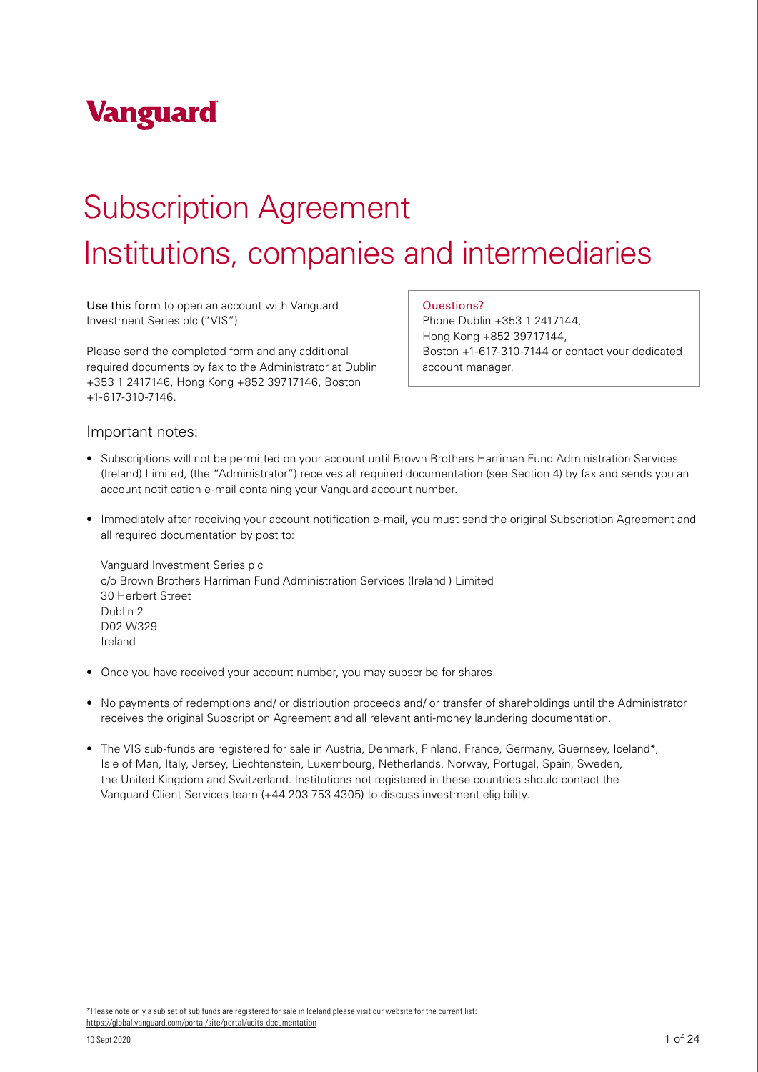

# Subscription Agreement

# Institutions, companies and intermediaries

Use this form to open an account with Vanguard Investment Series plc ("VIS").

Please send the completed form and any additional required documents by fax to the Administrator at Dublin +353 1 2417146, Hong Kong +852 39717146, Boston +1-617-310-7146.

Questions?

Phone Dublin +353 1 2417144, Hong Kong +852 39717144, Boston +1-617-310-7144 or contact your dedicated account manager.

### Important notes:

- Subscriptions will not be permitted on your account until Brown Brothers Harriman Fund Administration Services (Ireland) Limited, (the "Administrator") receives all required documentation (see Section 4) by fax and sends you an account notification e-mail containing your Vanguard account number.
- Immediately after receiving your account notification e-mail, you must send the original Subscription Agreement and all required documentation by post to:

Vanguard Investment Series plc c/o Brown Brothers Harriman Fund Administration Services (Ireland ) Limited 30 Herbert Street Dublin 2 D02 W329 Ireland

- Once you have received your account number, you may subscribe for shares.
- No payments of redemptions and/ or distribution proceeds and/ or transfer of shareholdings until the Administrator receives the original Subscription Agreement and all relevant anti-money laundering documentation.
- The VIS sub-funds are registered for sale in Austria, Denmark, Finland, France, Germany, Guernsey, Iceland\*, Isle of Man, Italy, Jersey, Liechtenstein, Luxembourg, Netherlands, Norway, Portugal, Spain, Sweden, the United Kingdom and Switzerland. Institutions not registered in these countries should contact the Vanguard Client Services team (+44 203 753 4305) to discuss investment eligibility.

\*Please note only a sub set of sub funds are registered for sale in Iceland please visit our website for the current list: <https://global.vanguard.com/portal/site/portal/ucits-documentation>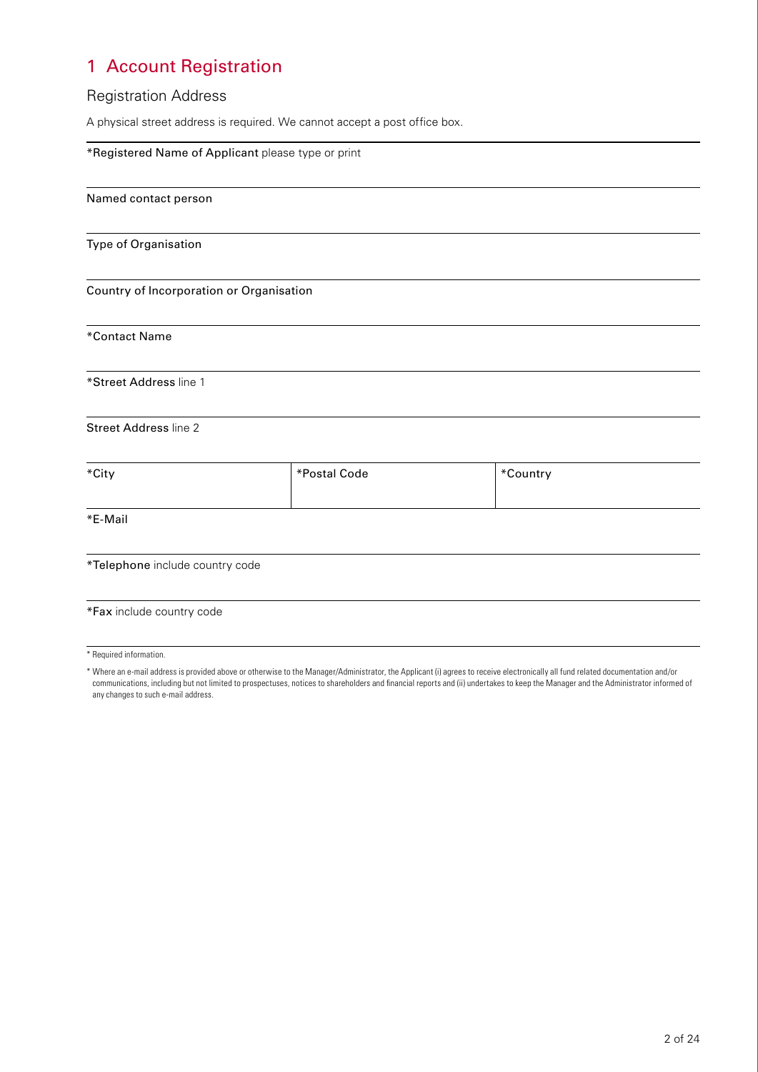# 1 Account Registration

### Registration Address

A physical street address is required. We cannot accept a post office box.

| *Registered Name of Applicant please type or print |              |          |  |
|----------------------------------------------------|--------------|----------|--|
| Named contact person                               |              |          |  |
| Type of Organisation                               |              |          |  |
| Country of Incorporation or Organisation           |              |          |  |
| *Contact Name                                      |              |          |  |
| *Street Address line 1                             |              |          |  |
| <b>Street Address line 2</b>                       |              |          |  |
| *City                                              | *Postal Code | *Country |  |
| *E-Mail                                            |              |          |  |
| *Telephone include country code                    |              |          |  |

### \*Fax include country code

\* Required information.

<sup>\*</sup> Where an e-mail address is provided above or otherwise to the Manager/Administrator, the Applicant (i) agrees to receive electronically all fund related documentation and/or communications, including but not limited to prospectuses, notices to shareholders and financial reports and (ii) undertakes to keep the Manager and the Administrator informed of any changes to such e-mail address.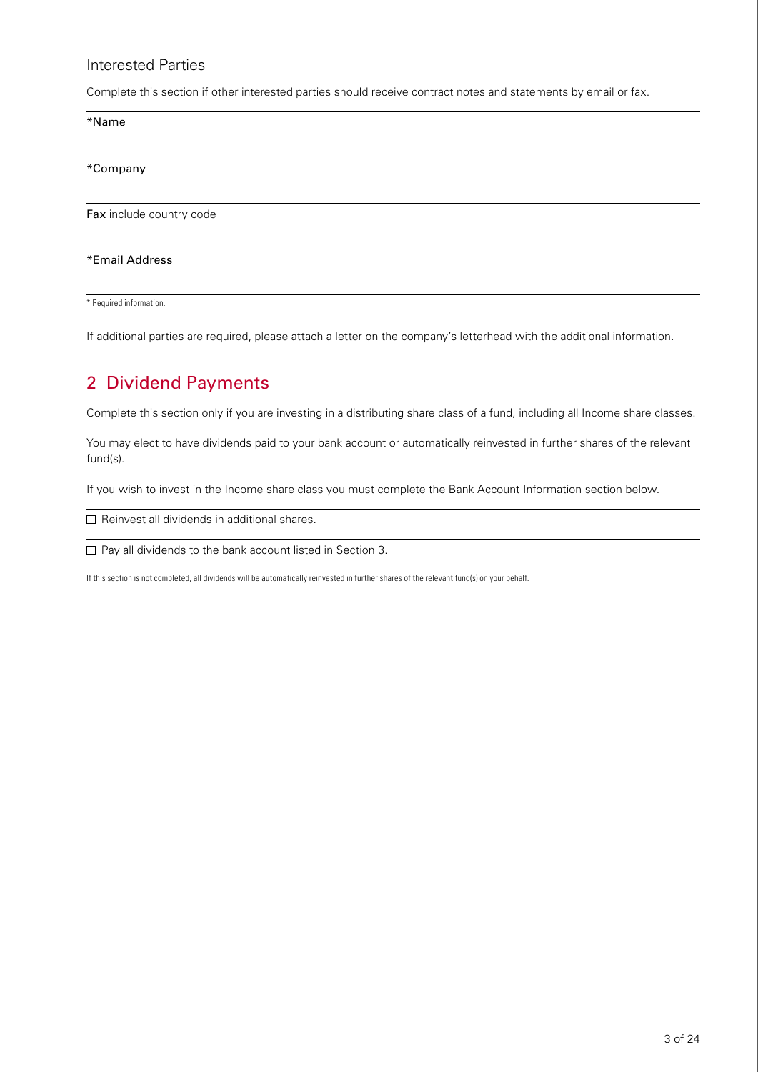### Interested Parties

Complete this section if other interested parties should receive contract notes and statements by email or fax.

\*Name

\*Company

Fax include country code

#### \*Email Address

\* Required information.

If additional parties are required, please attach a letter on the company's letterhead with the additional information.

### 2 Dividend Payments

Complete this section only if you are investing in a distributing share class of a fund, including all Income share classes.

You may elect to have dividends paid to your bank account or automatically reinvested in further shares of the relevant fund(s).

If you wish to invest in the Income share class you must complete the Bank Account Information section below.

 $\Box$  Reinvest all dividends in additional shares.

 $\Box$  Pay all dividends to the bank account listed in Section 3.

If this section is not completed, all dividends will be automatically reinvested in further shares of the relevant fund(s) on your behalf.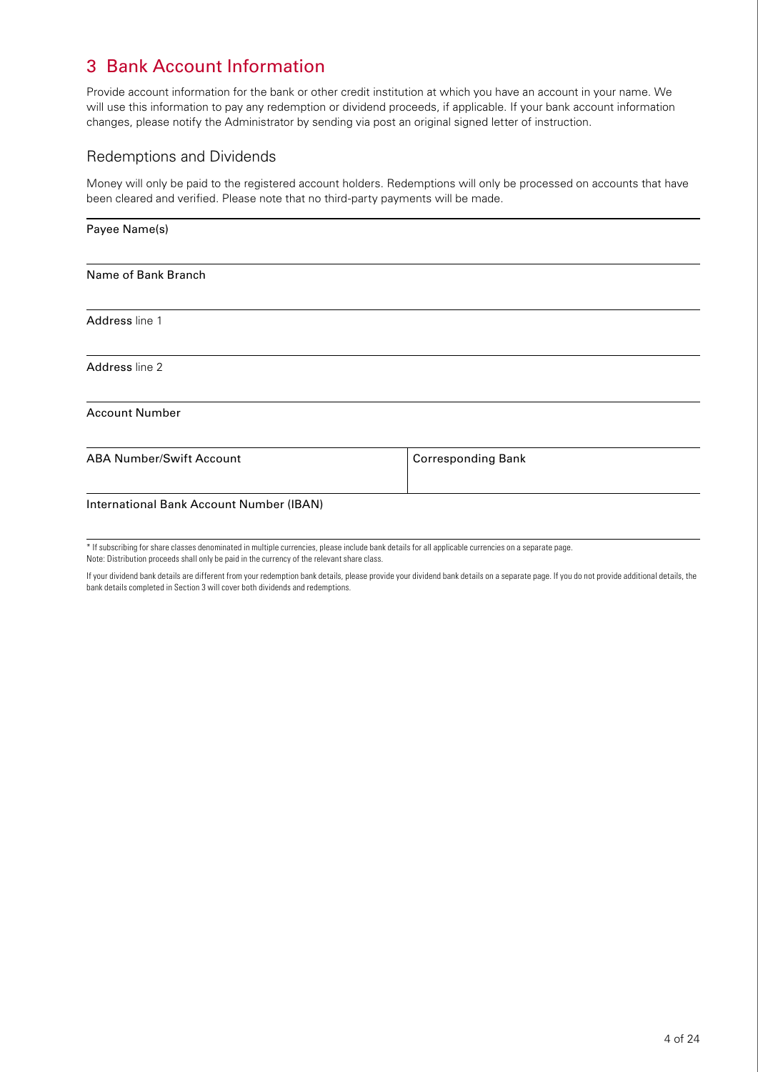## 3 Bank Account Information

Provide account information for the bank or other credit institution at which you have an account in your name. We will use this information to pay any redemption or dividend proceeds, if applicable. If your bank account information changes, please notify the Administrator by sending via post an original signed letter of instruction.

### Redemptions and Dividends

Money will only be paid to the registered account holders. Redemptions will only be processed on accounts that have been cleared and verified. Please note that no third-party payments will be made.

| Payee Name(s)                            |                           |  |
|------------------------------------------|---------------------------|--|
| Name of Bank Branch                      |                           |  |
| Address line 1                           |                           |  |
| Address line 2                           |                           |  |
| <b>Account Number</b>                    |                           |  |
| <b>ABA Number/Swift Account</b>          | <b>Corresponding Bank</b> |  |
| International Bank Account Number (IBAN) |                           |  |

\* If subscribing for share classes denominated in multiple currencies, please include bank details for all applicable currencies on a separate page. Note: Distribution proceeds shall only be paid in the currency of the relevant share class.

If your dividend bank details are different from your redemption bank details, please provide your dividend bank details on a separate page. If you do not provide additional details, the bank details completed in Section 3 will cover both dividends and redemptions.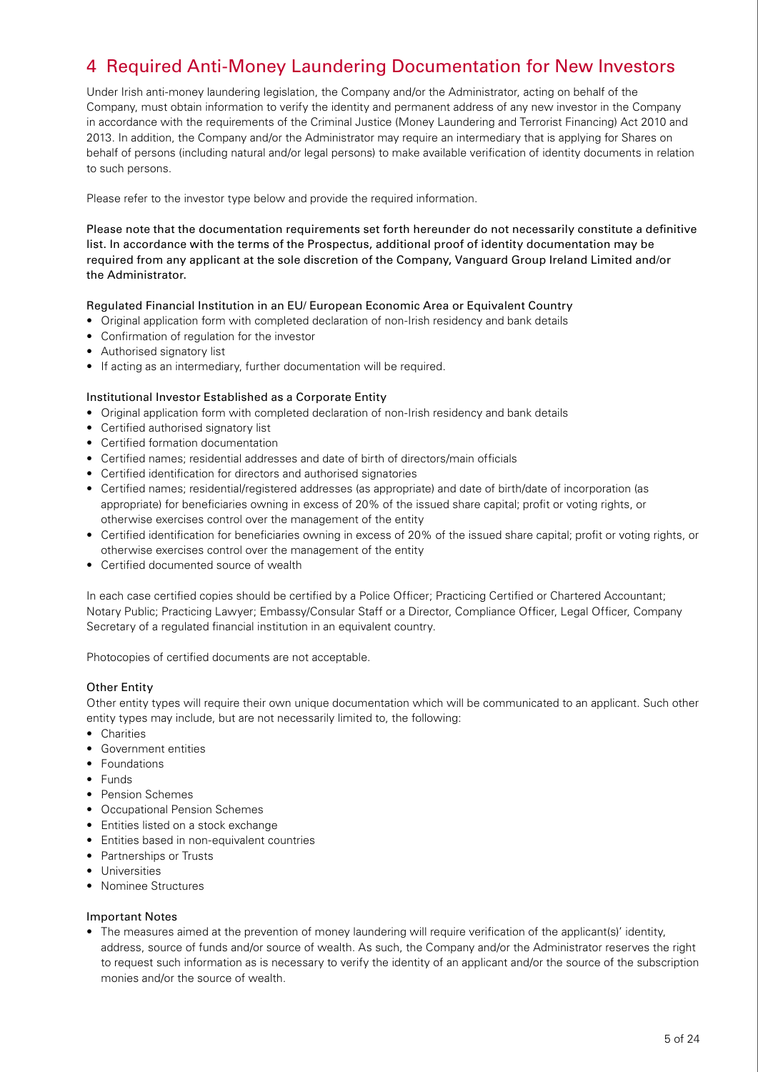# 4 Required Anti-Money Laundering Documentation for New Investors

Under Irish anti-money laundering legislation, the Company and/or the Administrator, acting on behalf of the Company, must obtain information to verify the identity and permanent address of any new investor in the Company in accordance with the requirements of the Criminal Justice (Money Laundering and Terrorist Financing) Act 2010 and 2013. In addition, the Company and/or the Administrator may require an intermediary that is applying for Shares on behalf of persons (including natural and/or legal persons) to make available verification of identity documents in relation to such persons.

Please refer to the investor type below and provide the required information.

Please note that the documentation requirements set forth hereunder do not necessarily constitute a definitive list. In accordance with the terms of the Prospectus, additional proof of identity documentation may be required from any applicant at the sole discretion of the Company, Vanguard Group Ireland Limited and/or the Administrator.

#### Regulated Financial Institution in an EU/ European Economic Area or Equivalent Country

- Original application form with completed declaration of non-Irish residency and bank details
- Confirmation of regulation for the investor
- Authorised signatory list
- If acting as an intermediary, further documentation will be required.

#### Institutional Investor Established as a Corporate Entity

- Original application form with completed declaration of non-Irish residency and bank details
- Certified authorised signatory list
- Certified formation documentation
- Certified names; residential addresses and date of birth of directors/main officials
- Certified identification for directors and authorised signatories
- Certified names; residential/registered addresses (as appropriate) and date of birth/date of incorporation (as appropriate) for beneficiaries owning in excess of 20% of the issued share capital; profit or voting rights, or otherwise exercises control over the management of the entity
- Certified identification for beneficiaries owning in excess of 20% of the issued share capital; profit or voting rights, or otherwise exercises control over the management of the entity
- Certified documented source of wealth

In each case certified copies should be certified by a Police Officer; Practicing Certified or Chartered Accountant; Notary Public; Practicing Lawyer; Embassy/Consular Staff or a Director, Compliance Officer, Legal Officer, Company Secretary of a regulated financial institution in an equivalent country.

Photocopies of certified documents are not acceptable.

### Other Entity

Other entity types will require their own unique documentation which will be communicated to an applicant. Such other entity types may include, but are not necessarily limited to, the following:

- Charities
- Government entities
- Foundations
- Funds
- Pension Schemes
- Occupational Pension Schemes
- Entities listed on a stock exchange
- Entities based in non-equivalent countries
- Partnerships or Trusts
- Universities
- Nominee Structures

#### Important Notes

• The measures aimed at the prevention of money laundering will require verification of the applicant(s)' identity, address, source of funds and/or source of wealth. As such, the Company and/or the Administrator reserves the right to request such information as is necessary to verify the identity of an applicant and/or the source of the subscription monies and/or the source of wealth.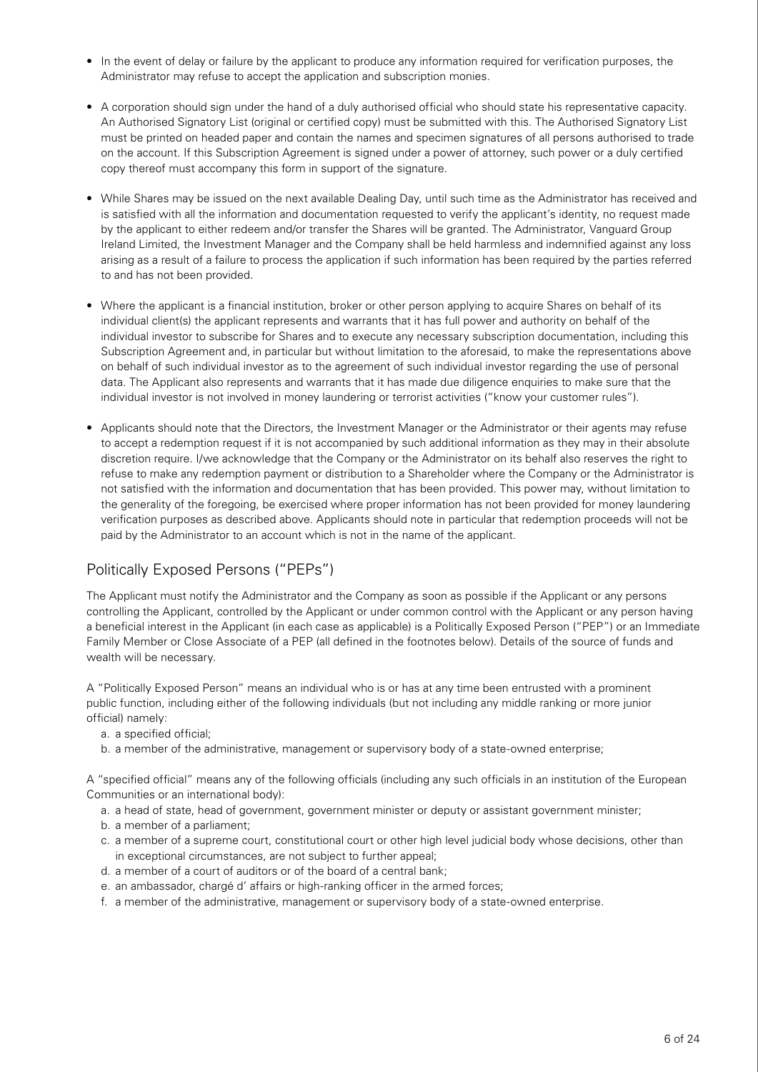- In the event of delay or failure by the applicant to produce any information required for verification purposes, the Administrator may refuse to accept the application and subscription monies.
- A corporation should sign under the hand of a duly authorised official who should state his representative capacity. An Authorised Signatory List (original or certified copy) must be submitted with this. The Authorised Signatory List must be printed on headed paper and contain the names and specimen signatures of all persons authorised to trade on the account. If this Subscription Agreement is signed under a power of attorney, such power or a duly certified copy thereof must accompany this form in support of the signature.
- While Shares may be issued on the next available Dealing Day, until such time as the Administrator has received and is satisfied with all the information and documentation requested to verify the applicant's identity, no request made by the applicant to either redeem and/or transfer the Shares will be granted. The Administrator, Vanguard Group Ireland Limited, the Investment Manager and the Company shall be held harmless and indemnified against any loss arising as a result of a failure to process the application if such information has been required by the parties referred to and has not been provided.
- Where the applicant is a financial institution, broker or other person applying to acquire Shares on behalf of its individual client(s) the applicant represents and warrants that it has full power and authority on behalf of the individual investor to subscribe for Shares and to execute any necessary subscription documentation, including this Subscription Agreement and, in particular but without limitation to the aforesaid, to make the representations above on behalf of such individual investor as to the agreement of such individual investor regarding the use of personal data. The Applicant also represents and warrants that it has made due diligence enquiries to make sure that the individual investor is not involved in money laundering or terrorist activities ("know your customer rules").
- Applicants should note that the Directors, the Investment Manager or the Administrator or their agents may refuse to accept a redemption request if it is not accompanied by such additional information as they may in their absolute discretion require. I/we acknowledge that the Company or the Administrator on its behalf also reserves the right to refuse to make any redemption payment or distribution to a Shareholder where the Company or the Administrator is not satisfied with the information and documentation that has been provided. This power may, without limitation to the generality of the foregoing, be exercised where proper information has not been provided for money laundering verification purposes as described above. Applicants should note in particular that redemption proceeds will not be paid by the Administrator to an account which is not in the name of the applicant.

### Politically Exposed Persons ("PEPs")

The Applicant must notify the Administrator and the Company as soon as possible if the Applicant or any persons controlling the Applicant, controlled by the Applicant or under common control with the Applicant or any person having a beneficial interest in the Applicant (in each case as applicable) is a Politically Exposed Person ("PEP") or an Immediate Family Member or Close Associate of a PEP (all defined in the footnotes below). Details of the source of funds and wealth will be necessary.

A "Politically Exposed Person" means an individual who is or has at any time been entrusted with a prominent public function, including either of the following individuals (but not including any middle ranking or more junior official) namely:

- a. a specified official;
- b. a member of the administrative, management or supervisory body of a state-owned enterprise;

A "specified official" means any of the following officials (including any such officials in an institution of the European Communities or an international body):

- a. a head of state, head of government, government minister or deputy or assistant government minister;
- b. a member of a parliament;
- c. a member of a supreme court, constitutional court or other high level judicial body whose decisions, other than in exceptional circumstances, are not subject to further appeal;
- d. a member of a court of auditors or of the board of a central bank;
- e. an ambassador, chargé d' affairs or high-ranking officer in the armed forces;
- f. a member of the administrative, management or supervisory body of a state-owned enterprise.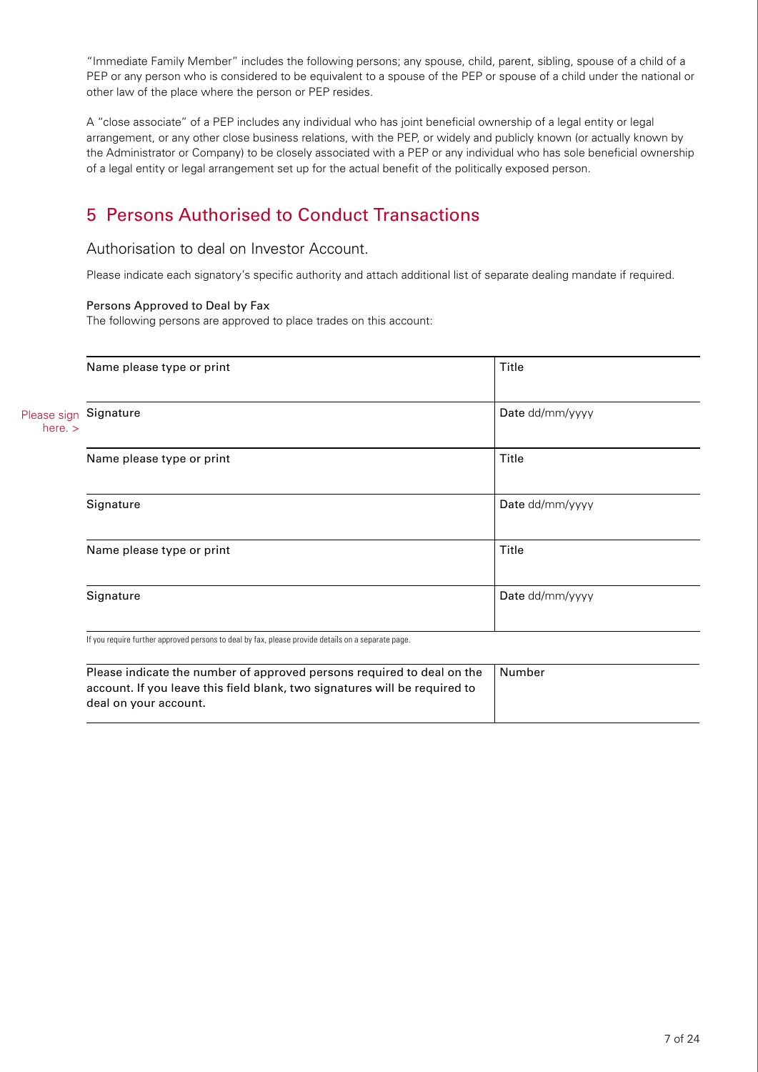"Immediate Family Member" includes the following persons; any spouse, child, parent, sibling, spouse of a child of a PEP or any person who is considered to be equivalent to a spouse of the PEP or spouse of a child under the national or other law of the place where the person or PEP resides.

A "close associate" of a PEP includes any individual who has joint beneficial ownership of a legal entity or legal arrangement, or any other close business relations, with the PEP, or widely and publicly known (or actually known by the Administrator or Company) to be closely associated with a PEP or any individual who has sole beneficial ownership of a legal entity or legal arrangement set up for the actual benefit of the politically exposed person.

# 5 Persons Authorised to Conduct Transactions

### Authorisation to deal on Investor Account.

Please indicate each signatory's specific authority and attach additional list of separate dealing mandate if required.

### Persons Approved to Deal by Fax

The following persons are approved to place trades on this account:

|                          | Name please type or print | Title           |
|--------------------------|---------------------------|-----------------|
| Please sign<br>here. $>$ | Signature                 | Date dd/mm/yyyy |
|                          | Name please type or print | Title           |
|                          | Signature                 | Date dd/mm/yyyy |
|                          | Name please type or print | Title           |
|                          | Signature                 | Date dd/mm/yyyy |

If you require further approved persons to deal by fax, please provide details on a separate page.

| Please indicate the number of approved persons required to deal on the<br>account. If you leave this field blank, two signatures will be required to | Number |
|------------------------------------------------------------------------------------------------------------------------------------------------------|--------|
| deal on your account.                                                                                                                                |        |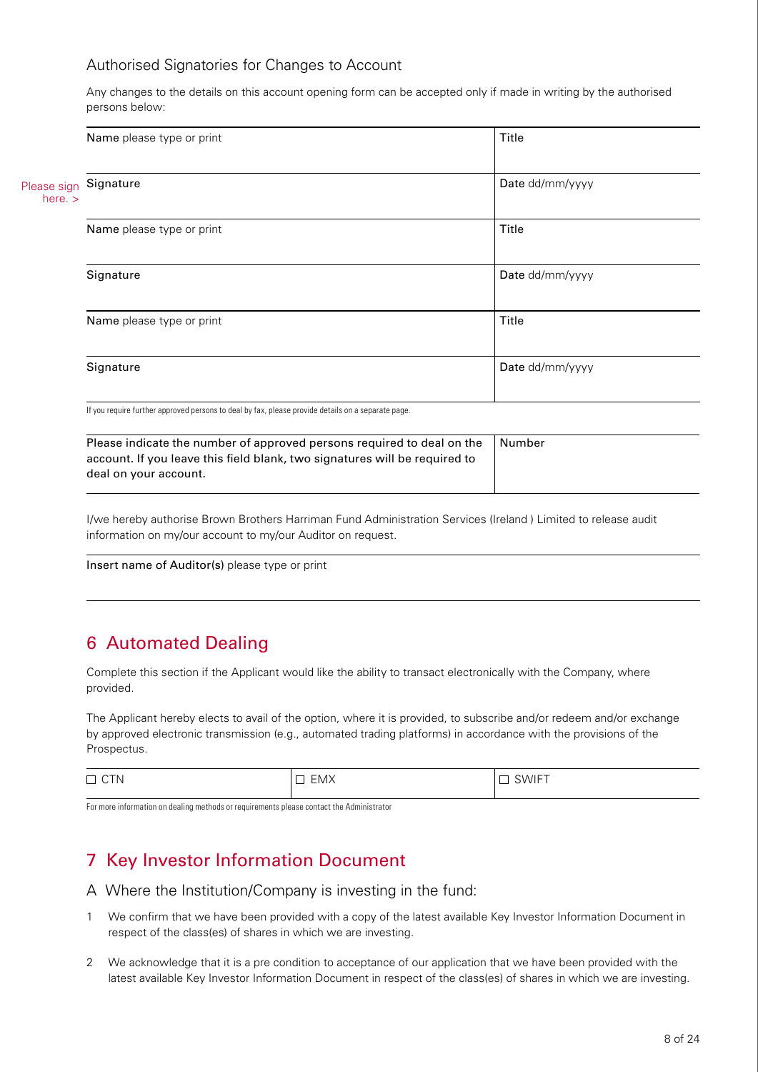### Authorised Signatories for Changes to Account

Any changes to the details on this account opening form can be accepted only if made in writing by the authorised persons below:

|                          | Name please type or print                                                                                                                                                     | Title           |  |
|--------------------------|-------------------------------------------------------------------------------------------------------------------------------------------------------------------------------|-----------------|--|
| Please sign<br>here. $>$ | Signature                                                                                                                                                                     | Date dd/mm/yyyy |  |
|                          | Name please type or print                                                                                                                                                     | Title           |  |
|                          | Signature                                                                                                                                                                     | Date dd/mm/yyyy |  |
|                          | Name please type or print                                                                                                                                                     | Title           |  |
|                          | Signature                                                                                                                                                                     | Date dd/mm/yyyy |  |
|                          | If you require further approved persons to deal by fax, please provide details on a separate page.                                                                            |                 |  |
|                          | Please indicate the number of approved persons required to deal on the<br>account. If you leave this field blank, two signatures will be required to<br>deal on your account. | Number          |  |

I/we hereby authorise Brown Brothers Harriman Fund Administration Services (Ireland ) Limited to release audit information on my/our account to my/our Auditor on request.

Insert name of Auditor(s) please type or print

### 6 Automated Dealing

Complete this section if the Applicant would like the ability to transact electronically with the Company, where provided.

The Applicant hereby elects to avail of the option, where it is provided, to subscribe and/or redeem and/or exchange by approved electronic transmission (e.g., automated trading platforms) in accordance with the provisions of the Prospectus.

| $\overline{\phantom{0}}$<br>$\sim$ $\sim$<br>N<br>一 | $\Gamma$ $\Lambda$ $\Lambda$<br>HM.<br>— IVI/ \<br>$\overline{\phantom{a}}$ | $\cdots$<br>$\sim$<br>.W<br>VII |
|-----------------------------------------------------|-----------------------------------------------------------------------------|---------------------------------|
|-----------------------------------------------------|-----------------------------------------------------------------------------|---------------------------------|

For more information on dealing methods or requirements please contact the Administrator

## 7 Key Investor Information Document

- A Where the Institution/Company is investing in the fund:
- 1 We confirm that we have been provided with a copy of the latest available Key Investor Information Document in respect of the class(es) of shares in which we are investing.
- 2 We acknowledge that it is a pre condition to acceptance of our application that we have been provided with the latest available Key Investor Information Document in respect of the class(es) of shares in which we are investing.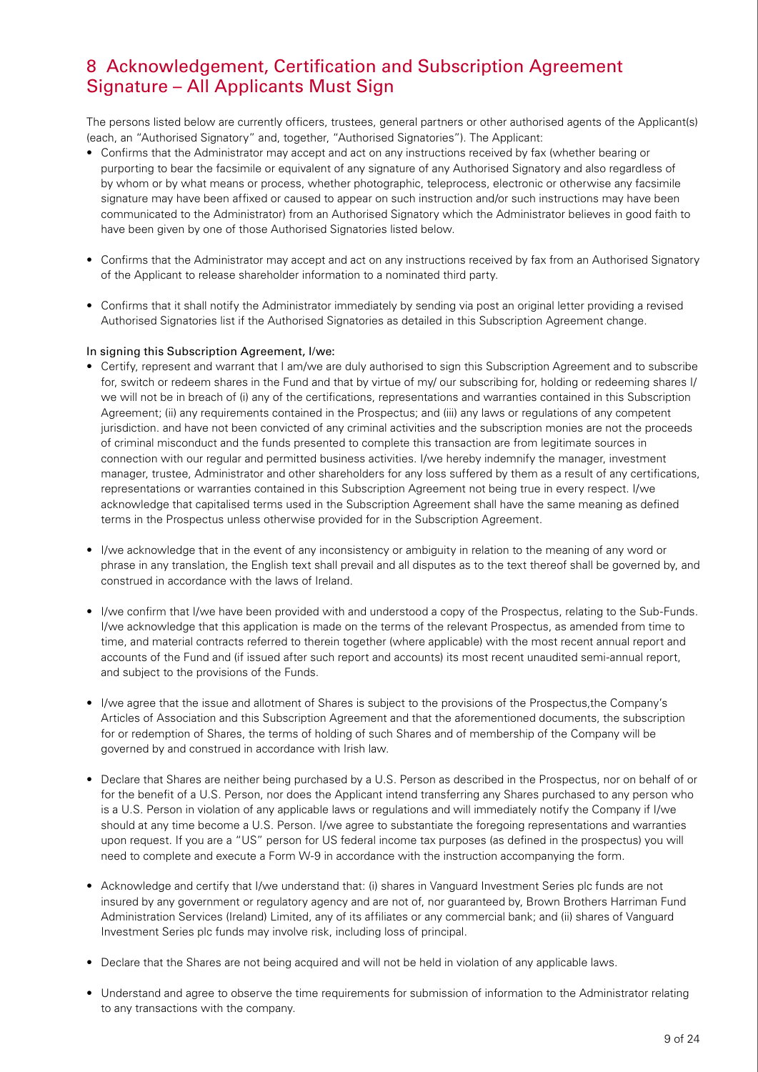### 8 Acknowledgement, Certification and Subscription Agreement Signature – All Applicants Must Sign

The persons listed below are currently officers, trustees, general partners or other authorised agents of the Applicant(s) (each, an "Authorised Signatory" and, together, "Authorised Signatories"). The Applicant:

- Confirms that the Administrator may accept and act on any instructions received by fax (whether bearing or purporting to bear the facsimile or equivalent of any signature of any Authorised Signatory and also regardless of by whom or by what means or process, whether photographic, teleprocess, electronic or otherwise any facsimile signature may have been affixed or caused to appear on such instruction and/or such instructions may have been communicated to the Administrator) from an Authorised Signatory which the Administrator believes in good faith to have been given by one of those Authorised Signatories listed below.
- Confirms that the Administrator may accept and act on any instructions received by fax from an Authorised Signatory of the Applicant to release shareholder information to a nominated third party.
- Confirms that it shall notify the Administrator immediately by sending via post an original letter providing a revised Authorised Signatories list if the Authorised Signatories as detailed in this Subscription Agreement change.

### In signing this Subscription Agreement, I/we:

- Certify, represent and warrant that I am/we are duly authorised to sign this Subscription Agreement and to subscribe for, switch or redeem shares in the Fund and that by virtue of my/ our subscribing for, holding or redeeming shares I/ we will not be in breach of (i) any of the certifications, representations and warranties contained in this Subscription Agreement; (ii) any requirements contained in the Prospectus; and (iii) any laws or regulations of any competent jurisdiction. and have not been convicted of any criminal activities and the subscription monies are not the proceeds of criminal misconduct and the funds presented to complete this transaction are from legitimate sources in connection with our regular and permitted business activities. I/we hereby indemnify the manager, investment manager, trustee, Administrator and other shareholders for any loss suffered by them as a result of any certifications, representations or warranties contained in this Subscription Agreement not being true in every respect. I/we acknowledge that capitalised terms used in the Subscription Agreement shall have the same meaning as defined terms in the Prospectus unless otherwise provided for in the Subscription Agreement.
- I/we acknowledge that in the event of any inconsistency or ambiguity in relation to the meaning of any word or phrase in any translation, the English text shall prevail and all disputes as to the text thereof shall be governed by, and construed in accordance with the laws of Ireland.
- I/we confirm that I/we have been provided with and understood a copy of the Prospectus, relating to the Sub-Funds. I/we acknowledge that this application is made on the terms of the relevant Prospectus, as amended from time to time, and material contracts referred to therein together (where applicable) with the most recent annual report and accounts of the Fund and (if issued after such report and accounts) its most recent unaudited semi-annual report, and subject to the provisions of the Funds.
- I/we agree that the issue and allotment of Shares is subject to the provisions of the Prospectus,the Company's Articles of Association and this Subscription Agreement and that the aforementioned documents, the subscription for or redemption of Shares, the terms of holding of such Shares and of membership of the Company will be governed by and construed in accordance with Irish law.
- Declare that Shares are neither being purchased by a U.S. Person as described in the Prospectus, nor on behalf of or for the benefit of a U.S. Person, nor does the Applicant intend transferring any Shares purchased to any person who is a U.S. Person in violation of any applicable laws or regulations and will immediately notify the Company if I/we should at any time become a U.S. Person. I/we agree to substantiate the foregoing representations and warranties upon request. If you are a "US" person for US federal income tax purposes (as defined in the prospectus) you will need to complete and execute a Form W-9 in accordance with the instruction accompanying the form.
- Acknowledge and certify that I/we understand that: (i) shares in Vanguard Investment Series plc funds are not insured by any government or regulatory agency and are not of, nor guaranteed by, Brown Brothers Harriman Fund Administration Services (Ireland) Limited, any of its affiliates or any commercial bank; and (ii) shares of Vanguard Investment Series plc funds may involve risk, including loss of principal.
- Declare that the Shares are not being acquired and will not be held in violation of any applicable laws.
- Understand and agree to observe the time requirements for submission of information to the Administrator relating to any transactions with the company.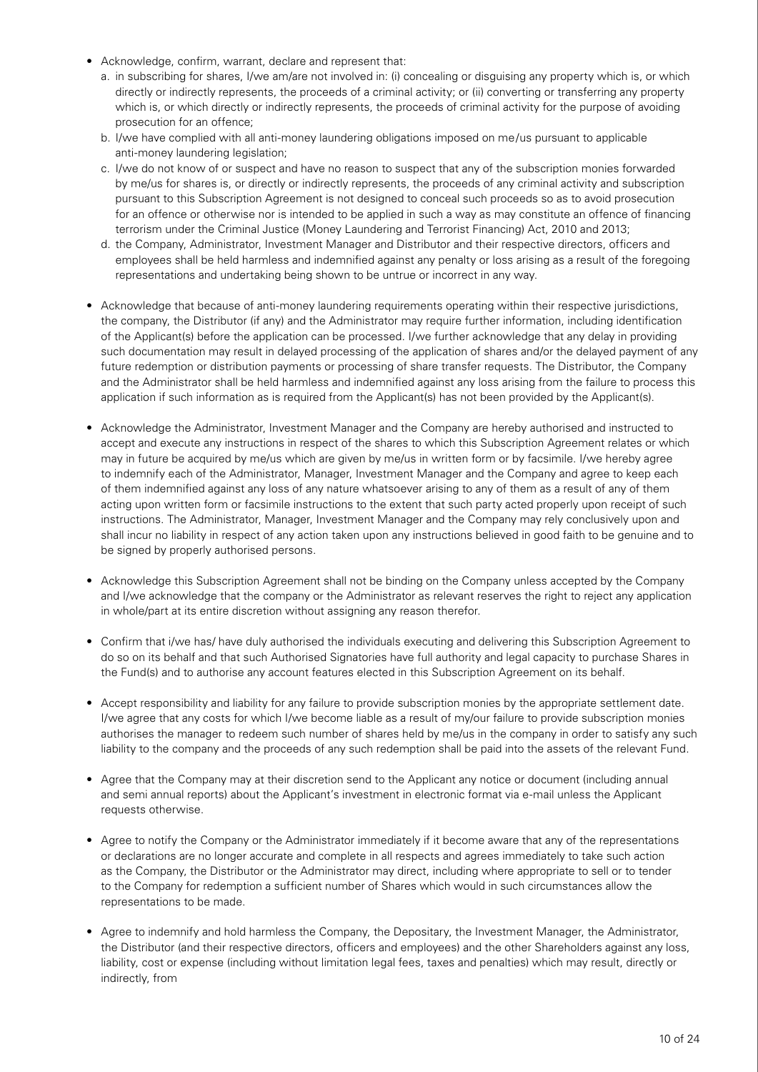- Acknowledge, confirm, warrant, declare and represent that:
	- a. in subscribing for shares, I/we am/are not involved in: (i) concealing or disguising any property which is, or which directly or indirectly represents, the proceeds of a criminal activity; or (ii) converting or transferring any property which is, or which directly or indirectly represents, the proceeds of criminal activity for the purpose of avoiding prosecution for an offence;
	- b. I/we have complied with all anti-money laundering obligations imposed on me/us pursuant to applicable anti-money laundering legislation;
	- c. I/we do not know of or suspect and have no reason to suspect that any of the subscription monies forwarded by me/us for shares is, or directly or indirectly represents, the proceeds of any criminal activity and subscription pursuant to this Subscription Agreement is not designed to conceal such proceeds so as to avoid prosecution for an offence or otherwise nor is intended to be applied in such a way as may constitute an offence of financing terrorism under the Criminal Justice (Money Laundering and Terrorist Financing) Act, 2010 and 2013;
	- d. the Company, Administrator, Investment Manager and Distributor and their respective directors, officers and employees shall be held harmless and indemnified against any penalty or loss arising as a result of the foregoing representations and undertaking being shown to be untrue or incorrect in any way.
- Acknowledge that because of anti-money laundering requirements operating within their respective jurisdictions, the company, the Distributor (if any) and the Administrator may require further information, including identification of the Applicant(s) before the application can be processed. I/we further acknowledge that any delay in providing such documentation may result in delayed processing of the application of shares and/or the delayed payment of any future redemption or distribution payments or processing of share transfer requests. The Distributor, the Company and the Administrator shall be held harmless and indemnified against any loss arising from the failure to process this application if such information as is required from the Applicant(s) has not been provided by the Applicant(s).
- Acknowledge the Administrator, Investment Manager and the Company are hereby authorised and instructed to accept and execute any instructions in respect of the shares to which this Subscription Agreement relates or which may in future be acquired by me/us which are given by me/us in written form or by facsimile. I/we hereby agree to indemnify each of the Administrator, Manager, Investment Manager and the Company and agree to keep each of them indemnified against any loss of any nature whatsoever arising to any of them as a result of any of them acting upon written form or facsimile instructions to the extent that such party acted properly upon receipt of such instructions. The Administrator, Manager, Investment Manager and the Company may rely conclusively upon and shall incur no liability in respect of any action taken upon any instructions believed in good faith to be genuine and to be signed by properly authorised persons.
- Acknowledge this Subscription Agreement shall not be binding on the Company unless accepted by the Company and I/we acknowledge that the company or the Administrator as relevant reserves the right to reject any application in whole/part at its entire discretion without assigning any reason therefor.
- Confirm that i/we has/ have duly authorised the individuals executing and delivering this Subscription Agreement to do so on its behalf and that such Authorised Signatories have full authority and legal capacity to purchase Shares in the Fund(s) and to authorise any account features elected in this Subscription Agreement on its behalf.
- Accept responsibility and liability for any failure to provide subscription monies by the appropriate settlement date. I/we agree that any costs for which I/we become liable as a result of my/our failure to provide subscription monies authorises the manager to redeem such number of shares held by me/us in the company in order to satisfy any such liability to the company and the proceeds of any such redemption shall be paid into the assets of the relevant Fund.
- Agree that the Company may at their discretion send to the Applicant any notice or document (including annual and semi annual reports) about the Applicant's investment in electronic format via e-mail unless the Applicant requests otherwise.
- Agree to notify the Company or the Administrator immediately if it become aware that any of the representations or declarations are no longer accurate and complete in all respects and agrees immediately to take such action as the Company, the Distributor or the Administrator may direct, including where appropriate to sell or to tender to the Company for redemption a sufficient number of Shares which would in such circumstances allow the representations to be made.
- Agree to indemnify and hold harmless the Company, the Depositary, the Investment Manager, the Administrator, the Distributor (and their respective directors, officers and employees) and the other Shareholders against any loss, liability, cost or expense (including without limitation legal fees, taxes and penalties) which may result, directly or indirectly, from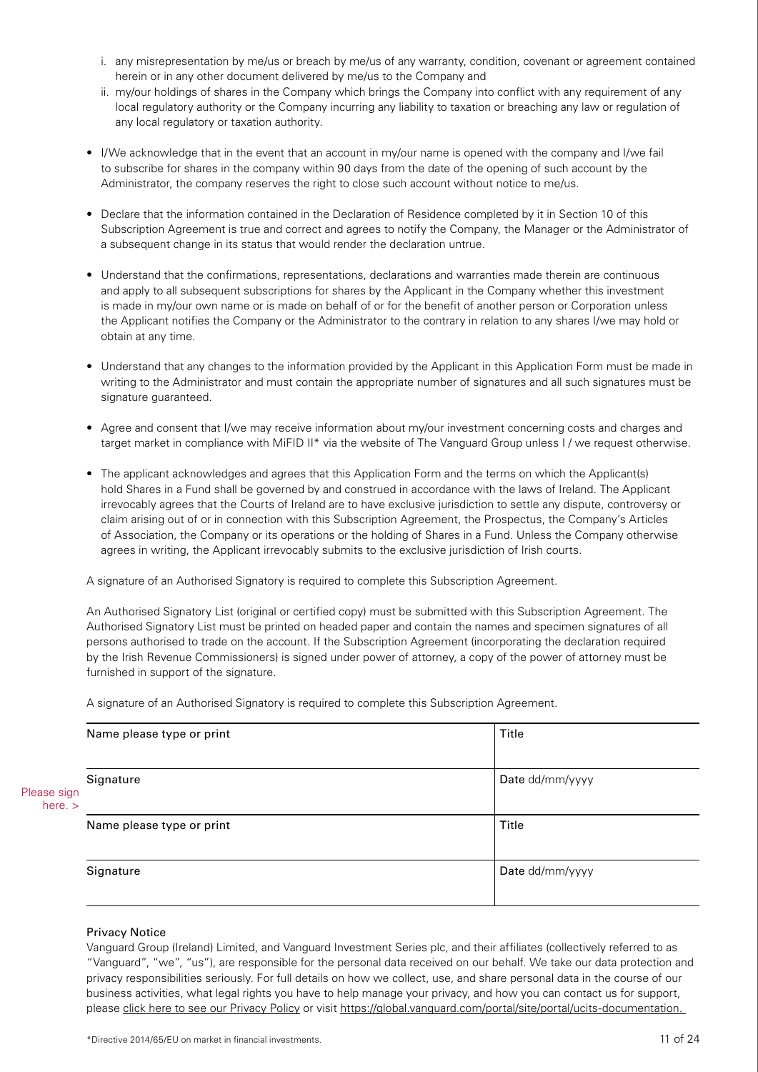- i. any misrepresentation by me/us or breach by me/us of any warranty, condition, covenant or agreement contained herein or in any other document delivered by me/us to the Company and
- ii. my/our holdings of shares in the Company which brings the Company into conflict with any requirement of any local regulatory authority or the Company incurring any liability to taxation or breaching any law or regulation of any local regulatory or taxation authority.
- I/We acknowledge that in the event that an account in my/our name is opened with the company and I/we fail to subscribe for shares in the company within 90 days from the date of the opening of such account by the Administrator, the company reserves the right to close such account without notice to me/us.
- Declare that the information contained in the Declaration of Residence completed by it in Section 10 of this Subscription Agreement is true and correct and agrees to notify the Company, the Manager or the Administrator of a subsequent change in its status that would render the declaration untrue.
- Understand that the confirmations, representations, declarations and warranties made therein are continuous and apply to all subsequent subscriptions for shares by the Applicant in the Company whether this investment is made in my/our own name or is made on behalf of or for the benefit of another person or Corporation unless the Applicant notifies the Company or the Administrator to the contrary in relation to any shares I/we may hold or obtain at any time.
- Understand that any changes to the information provided by the Applicant in this Application Form must be made in writing to the Administrator and must contain the appropriate number of signatures and all such signatures must be signature guaranteed.
- Agree and consent that I/we may receive information about my/our investment concerning costs and charges and target market in compliance with MiFID II\* via the website of The Vanguard Group unless I / we request otherwise.
- The applicant acknowledges and agrees that this Application Form and the terms on which the Applicant(s) hold Shares in a Fund shall be governed by and construed in accordance with the laws of Ireland. The Applicant irrevocably agrees that the Courts of Ireland are to have exclusive jurisdiction to settle any dispute, controversy or claim arising out of or in connection with this Subscription Agreement, the Prospectus, the Company's Articles of Association, the Company or its operations or the holding of Shares in a Fund. Unless the Company otherwise agrees in writing, the Applicant irrevocably submits to the exclusive jurisdiction of Irish courts.

A signature of an Authorised Signatory is required to complete this Subscription Agreement.

An Authorised Signatory List (original or certified copy) must be submitted with this Subscription Agreement. The Authorised Signatory List must be printed on headed paper and contain the names and specimen signatures of all persons authorised to trade on the account. If the Subscription Agreement (incorporating the declaration required by the Irish Revenue Commissioners) is signed under power of attorney, a copy of the power of attorney must be furnished in support of the signature.

A signature of an Authorised Signatory is required to complete this Subscription Agreement.

|                          | Name please type or print | Title           |
|--------------------------|---------------------------|-----------------|
| Please sign<br>here. $>$ | Signature                 | Date dd/mm/yyyy |
|                          | Name please type or print | Title           |
|                          | Signature                 | Date dd/mm/yyyy |

#### Privacy Notice

Vanguard Group (Ireland) Limited, and Vanguard Investment Series plc, and their affiliates (collectively referred to as "Vanguard", "we", "us"), are responsible for the personal data received on our behalf. We take our data protection and privacy responsibilities seriously. For full details on how we collect, use, and share personal data in the course of our business activities, what legal rights you have to help manage your privacy, and how you can contact us for support, please [click here to see our Privacy Policy](https://global.vanguard.com/portal/site/portal/ucits-documentation) or visit [https://global.vanguard.com/portal/site/portal/ucits-documentation.](https://global.vanguard.com/portal/site/portal/ucits-documentation)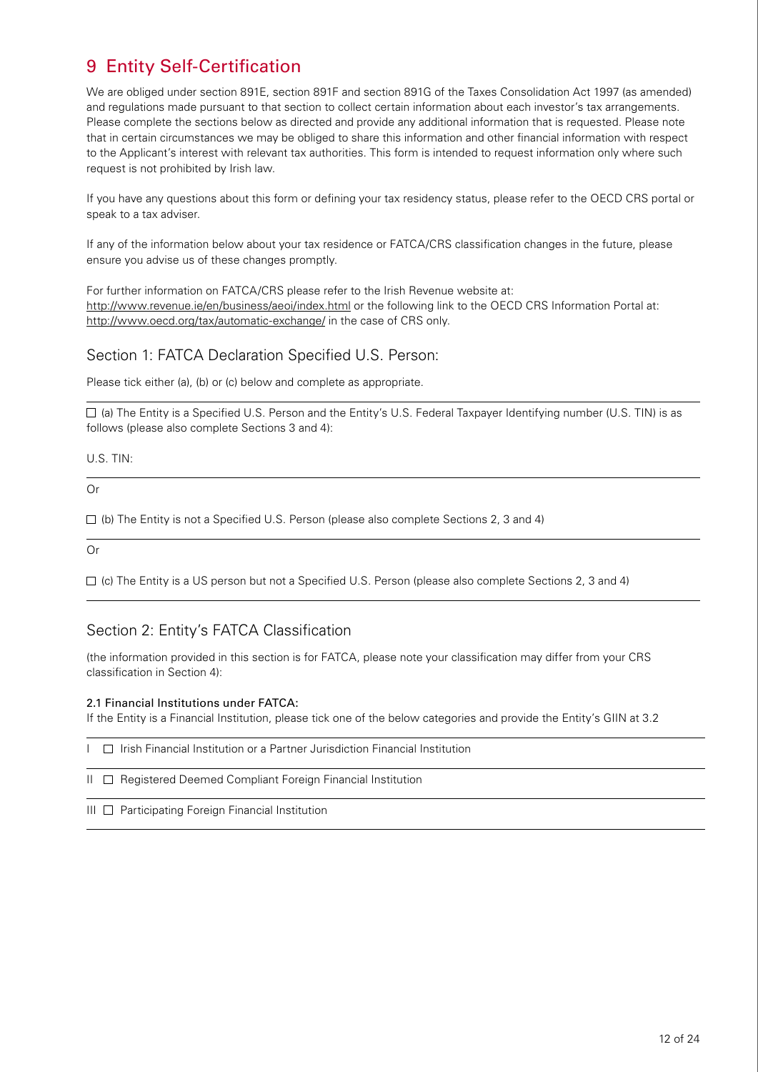# 9 Entity Self-Certification

We are obliged under section 891E, section 891F and section 891G of the Taxes Consolidation Act 1997 (as amended) and regulations made pursuant to that section to collect certain information about each investor's tax arrangements. Please complete the sections below as directed and provide any additional information that is requested. Please note that in certain circumstances we may be obliged to share this information and other financial information with respect to the Applicant's interest with relevant tax authorities. This form is intended to request information only where such request is not prohibited by Irish law.

If you have any questions about this form or defining your tax residency status, please refer to the OECD CRS portal or speak to a tax adviser.

If any of the information below about your tax residence or FATCA/CRS classification changes in the future, please ensure you advise us of these changes promptly.

For further information on FATCA/CRS please refer to the Irish Revenue website at: <http://www.revenue.ie/en/business/aeoi/index.html>or the following link to the OECD CRS Information Portal at: <http://www.oecd.org/tax/automatic-exchange/> in the case of CRS only.

### Section 1: FATCA Declaration Specified U.S. Person:

Please tick either (a), (b) or (c) below and complete as appropriate.

 (a) The Entity is a Specified U.S. Person and the Entity's U.S. Federal Taxpayer Identifying number (U.S. TIN) is as follows (please also complete Sections 3 and 4):

U.S. TIN:

Or

 $\Box$  (b) The Entity is not a Specified U.S. Person (please also complete Sections 2, 3 and 4)

Or

 $\Box$  (c) The Entity is a US person but not a Specified U.S. Person (please also complete Sections 2, 3 and 4)

### Section 2: Entity's FATCA Classification

(the information provided in this section is for FATCA, please note your classification may differ from your CRS classification in Section 4):

### 2.1 Financial Institutions under FATCA:

If the Entity is a Financial Institution, please tick one of the below categories and provide the Entity's GIIN at 3.2

I Irish Financial Institution or a Partner Jurisdiction Financial Institution

II Registered Deemed Compliant Foreign Financial Institution

 $III \Box$  Participating Foreign Financial Institution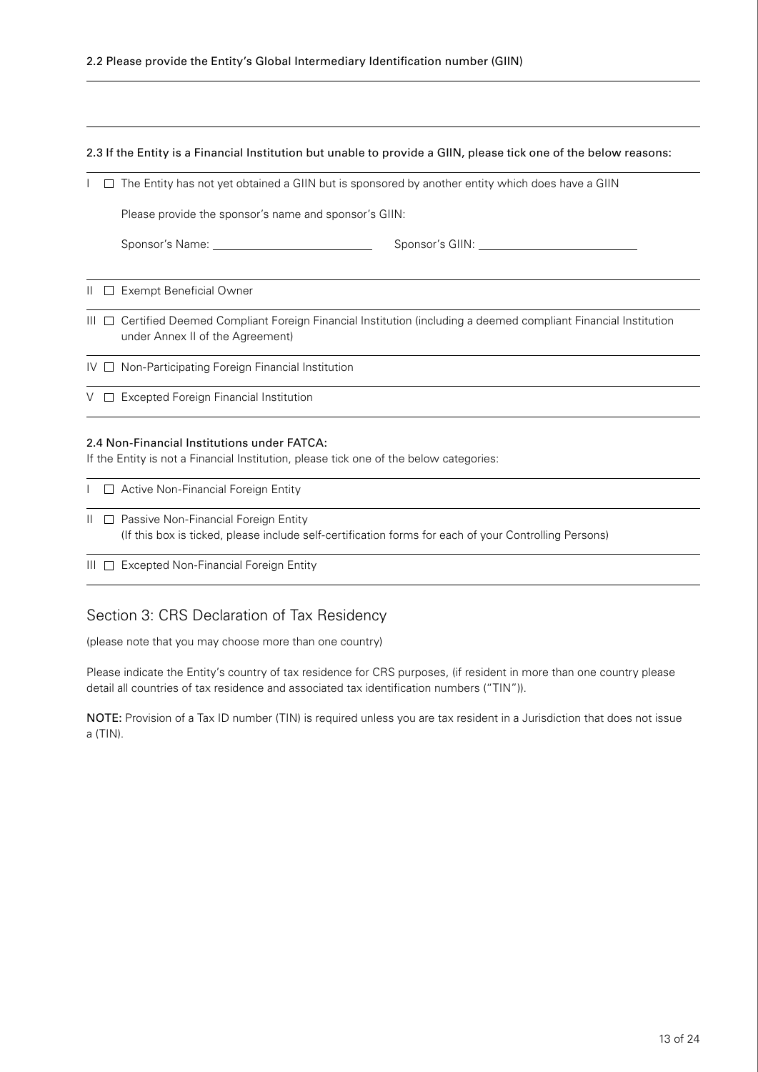2.3 If the Entity is a Financial Institution but unable to provide a GIIN, please tick one of the below reasons:

 $I \square$  The Entity has not yet obtained a GIIN but is sponsored by another entity which does have a GIIN

Please provide the sponsor's name and sponsor's GIIN:

| Sponsor's Name: | Sponsor's GIIN: |
|-----------------|-----------------|
|                 |                 |

II Exempt Beneficial Owner

- III  $\Box$  Certified Deemed Compliant Foreign Financial Institution (including a deemed compliant Financial Institution under Annex II of the Agreement)
- IV  $\Box$  Non-Participating Foreign Financial Institution

V  $\Box$  Excepted Foreign Financial Institution

### 2.4 Non-Financial Institutions under FATCA:

If the Entity is not a Financial Institution, please tick one of the below categories:

|  | □ Active Non-Financial Foreign Entity                                                                                                             |
|--|---------------------------------------------------------------------------------------------------------------------------------------------------|
|  | Ⅱ □ Passive Non-Financial Foreign Entity<br>(If this box is ticked, please include self-certification forms for each of your Controlling Persons) |

III  $\Box$  Excepted Non-Financial Foreign Entity

### Section 3: CRS Declaration of Tax Residency

(please note that you may choose more than one country)

Please indicate the Entity's country of tax residence for CRS purposes, (if resident in more than one country please detail all countries of tax residence and associated tax identification numbers ("TIN")).

NOTE: Provision of a Tax ID number (TIN) is required unless you are tax resident in a Jurisdiction that does not issue a (TIN).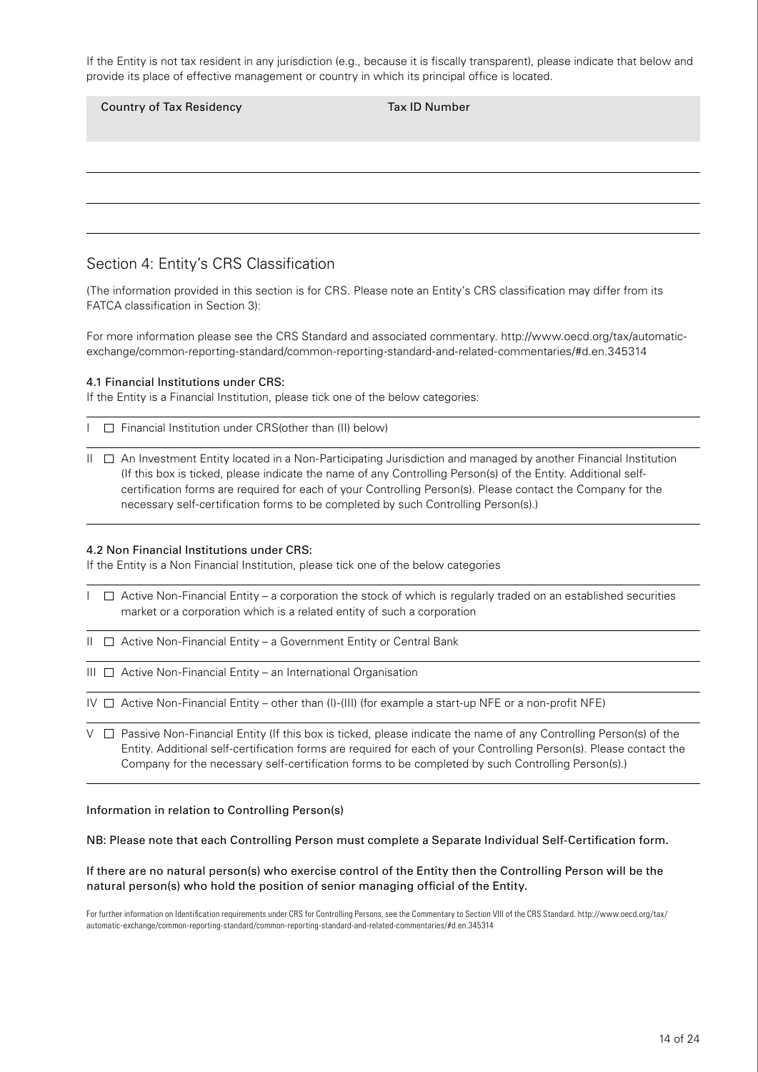If the Entity is not tax resident in any jurisdiction (e.g., because it is fiscally transparent), please indicate that below and provide its place of effective management or country in which its principal office is located.

| <b>Country of Tax Residency</b> | Tax ID Number |
|---------------------------------|---------------|
|                                 |               |
|                                 |               |
|                                 |               |

### Section 4: Entity's CRS Classification

(The information provided in this section is for CRS. Please note an Entity's CRS classification may differ from its FATCA classification in Section 3):

For more information please see the CRS Standard and associated commentary. [http://www.oecd.org/tax/automatic](http://www.oecd.org/tax/automatic-exchange/common-reporting-standard/common-reporting-standard-and-related-commentaries/#d.en.345314)[exchange/common-reporting-standard/common-reporting-standard-and-related-commentaries/#d.en.345314](http://www.oecd.org/tax/automatic-exchange/common-reporting-standard/common-reporting-standard-and-related-commentaries/#d.en.345314)

### 4.1 Financial Institutions under CRS:

If the Entity is a Financial Institution, please tick one of the below categories:

 $\Box$  Financial Institution under CRS(other than (II) below)

II An Investment Entity located in a Non-Participating Jurisdiction and managed by another Financial Institution (If this box is ticked, please indicate the name of any Controlling Person(s) of the Entity. Additional selfcertification forms are required for each of your Controlling Person(s). Please contact the Company for the necessary self-certification forms to be completed by such Controlling Person(s).)

### 4.2 Non Financial Institutions under CRS:

If the Entity is a Non Financial Institution, please tick one of the below categories

- $I \square$  Active Non-Financial Entity a corporation the stock of which is regularly traded on an established securities market or a corporation which is a related entity of such a corporation
- $II \square$  Active Non-Financial Entity a Government Entity or Central Bank
- $III \square$  Active Non-Financial Entity an International Organisation

IV  $\Box$  Active Non-Financial Entity – other than (I)-(III) (for example a start-up NFE or a non-profit NFE)

 $V \Box$  Passive Non-Financial Entity (If this box is ticked, please indicate the name of any Controlling Person(s) of the Entity. Additional self-certification forms are required for each of your Controlling Person(s). Please contact the Company for the necessary self-certification forms to be completed by such Controlling Person(s).)

Information in relation to Controlling Person(s)

NB: Please note that each Controlling Person must complete a Separate Individual Self-Certification form.

#### If there are no natural person(s) who exercise control of the Entity then the Controlling Person will be the natural person(s) who hold the position of senior managing official of the Entity.

For further information on Identification requirements under CRS for Controlling Persons, see the Commentary to Section VIII of the CRS Standard. [http://www.oecd.org/tax/](http://www.oecd.org/tax/automatic-exchange/common-reporting-standard/common-reporting-standard-and-related-commentaries/#d.en.345314) [automatic-exchange/common-reporting-standard/common-reporting-standard-and-related-commentaries/#d.en.345314](http://www.oecd.org/tax/automatic-exchange/common-reporting-standard/common-reporting-standard-and-related-commentaries/#d.en.345314)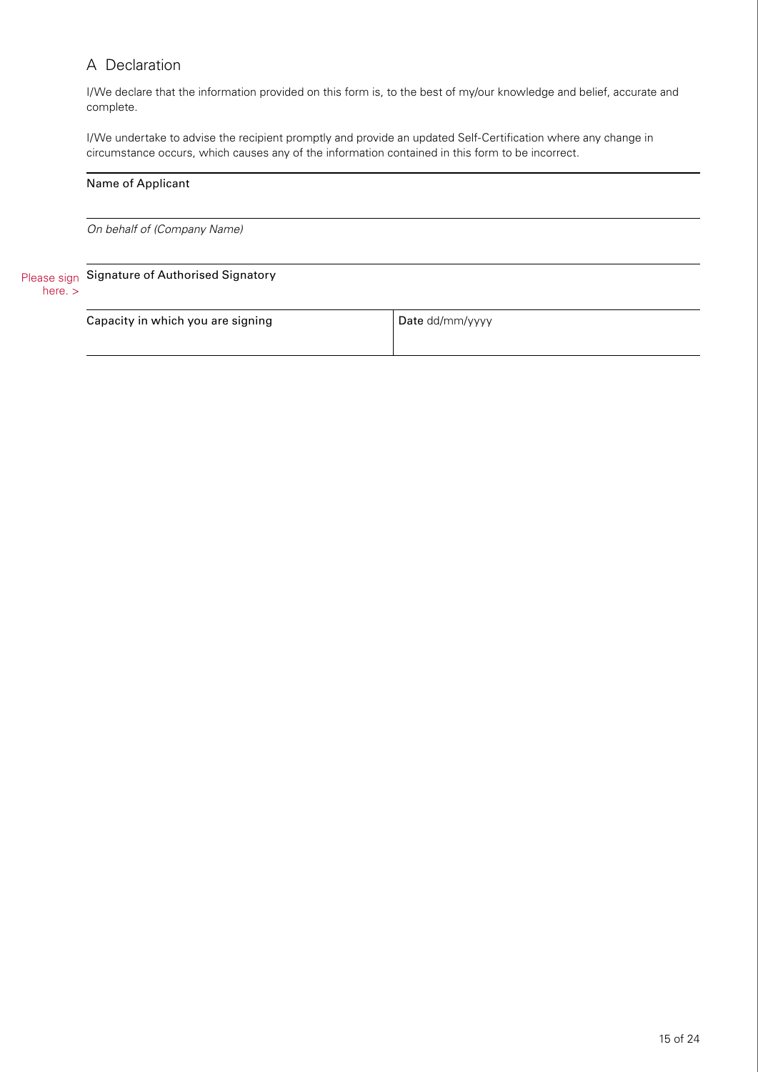### A Declaration

I/We declare that the information provided on this form is, to the best of my/our knowledge and belief, accurate and complete.

I/We undertake to advise the recipient promptly and provide an updated Self-Certification where any change in circumstance occurs, which causes any of the information contained in this form to be incorrect.

|                          | Name of Applicant                 |                 |
|--------------------------|-----------------------------------|-----------------|
|                          | On behalf of (Company Name)       |                 |
| Please sign<br>here. $>$ | Signature of Authorised Signatory |                 |
|                          | Capacity in which you are signing | Date dd/mm/yyyy |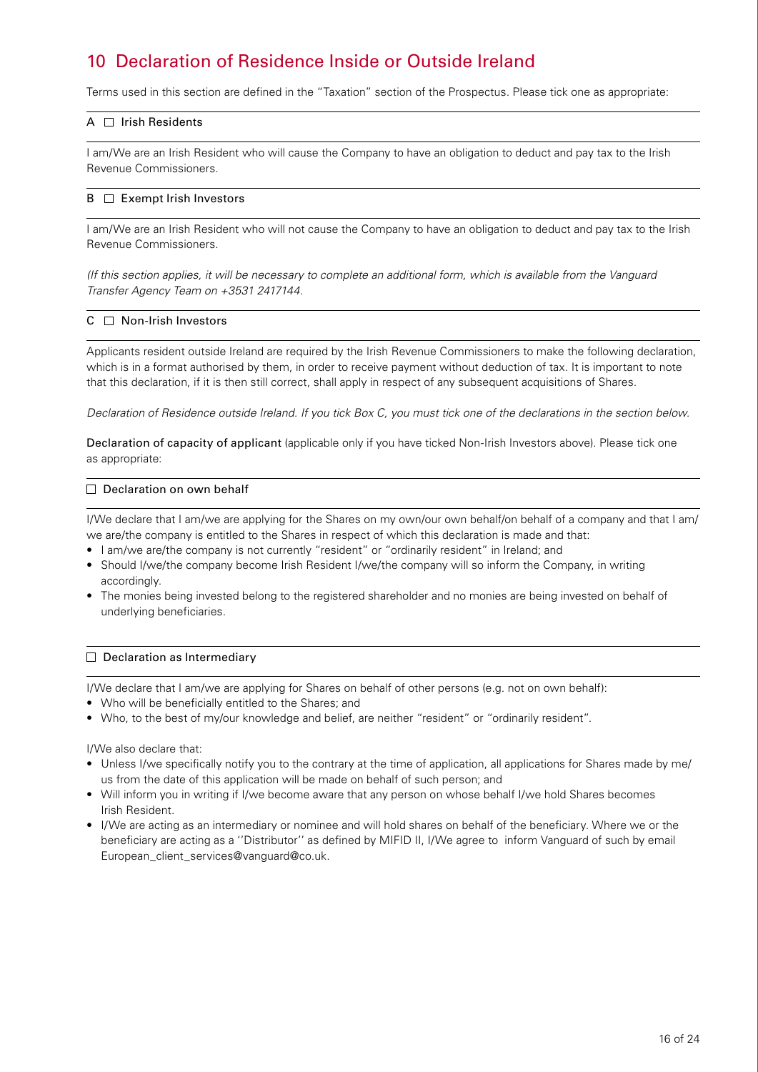# 10 Declaration of Residence Inside or Outside Ireland

Terms used in this section are defined in the "Taxation" section of the Prospectus. Please tick one as appropriate:

### $A \cap$  Irish Residents

I am/We are an Irish Resident who will cause the Company to have an obligation to deduct and pay tax to the Irish Revenue Commissioners.

### $B \Box$  Exempt Irish Investors

I am/We are an Irish Resident who will not cause the Company to have an obligation to deduct and pay tax to the Irish Revenue Commissioners.

*(If this section applies, it will be necessary to complete an additional form, which is available from the Vanguard Transfer Agency Team on +3531 2417144.*

### $C \square$  Non-Irish Investors

Applicants resident outside Ireland are required by the Irish Revenue Commissioners to make the following declaration, which is in a format authorised by them, in order to receive payment without deduction of tax. It is important to note that this declaration, if it is then still correct, shall apply in respect of any subsequent acquisitions of Shares.

*Declaration of Residence outside Ireland. If you tick Box C, you must tick one of the declarations in the section below.*

Declaration of capacity of applicant (applicable only if you have ticked Non-Irish Investors above). Please tick one as appropriate:

### $\Box$  Declaration on own behalf

I/We declare that I am/we are applying for the Shares on my own/our own behalf/on behalf of a company and that I am/ we are/the company is entitled to the Shares in respect of which this declaration is made and that:

- I am/we are/the company is not currently "resident" or "ordinarily resident" in Ireland; and
- Should I/we/the company become Irish Resident I/we/the company will so inform the Company, in writing accordingly.
- The monies being invested belong to the registered shareholder and no monies are being invested on behalf of underlying beneficiaries.

### $\Box$  Declaration as Intermediary

I/We declare that I am/we are applying for Shares on behalf of other persons (e.g. not on own behalf):

- Who will be beneficially entitled to the Shares; and
- Who, to the best of my/our knowledge and belief, are neither "resident" or "ordinarily resident".

I/We also declare that:

- Unless I/we specifically notify you to the contrary at the time of application, all applications for Shares made by me/ us from the date of this application will be made on behalf of such person; and
- Will inform you in writing if I/we become aware that any person on whose behalf I/we hold Shares becomes Irish Resident.
- I/We are acting as an intermediary or nominee and will hold shares on behalf of the beneficiary. Where we or the beneficiary are acting as a ''Distributor'' as defined by MIFID II, I/We agree to inform Vanguard of such by email [European\\_client\\_services@vanguard@co.uk.](mailto:European_client_services@vanguard@co.uk)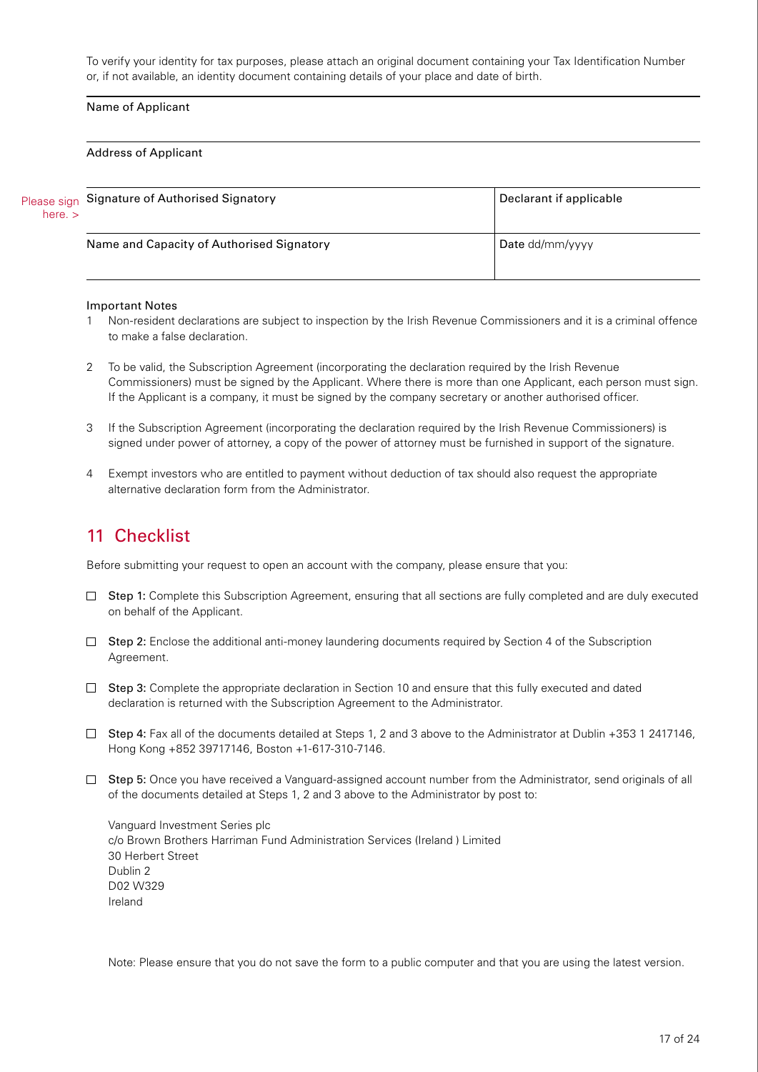To verify your identity for tax purposes, please attach an original document containing your Tax Identification Number or, if not available, an identity document containing details of your place and date of birth.

### Name of Applicant

#### Address of Applicant

| here. $>$ | Please sign Signature of Authorised Signatory | Declarant if applicable |
|-----------|-----------------------------------------------|-------------------------|
|           | Name and Capacity of Authorised Signatory     | Date dd/mm/yyyy         |

#### Important Notes

- Non-resident declarations are subject to inspection by the Irish Revenue Commissioners and it is a criminal offence to make a false declaration.
- 2 To be valid, the Subscription Agreement (incorporating the declaration required by the Irish Revenue Commissioners) must be signed by the Applicant. Where there is more than one Applicant, each person must sign. If the Applicant is a company, it must be signed by the company secretary or another authorised officer.
- 3 If the Subscription Agreement (incorporating the declaration required by the Irish Revenue Commissioners) is signed under power of attorney, a copy of the power of attorney must be furnished in support of the signature.
- 4 Exempt investors who are entitled to payment without deduction of tax should also request the appropriate alternative declaration form from the Administrator.

### 11 Checklist

Before submitting your request to open an account with the company, please ensure that you:

- $\Box$  Step 1: Complete this Subscription Agreement, ensuring that all sections are fully completed and are duly executed on behalf of the Applicant.
- $\Box$  Step 2: Enclose the additional anti-money laundering documents required by Section 4 of the Subscription Agreement.
- $\Box$  Step 3: Complete the appropriate declaration in Section 10 and ensure that this fully executed and dated declaration is returned with the Subscription Agreement to the Administrator.
- $\Box$  Step 4: Fax all of the documents detailed at Steps 1, 2 and 3 above to the Administrator at Dublin +353 1 2417146, Hong Kong +852 39717146, Boston +1-617-310-7146.
- $\Box$  Step 5: Once you have received a Vanguard-assigned account number from the Administrator, send originals of all of the documents detailed at Steps 1, 2 and 3 above to the Administrator by post to:

Vanguard Investment Series plc c/o Brown Brothers Harriman Fund Administration Services (Ireland ) Limited 30 Herbert Street Dublin 2 D02 W329 Ireland

Note: Please ensure that you do not save the form to a public computer and that you are using the latest version.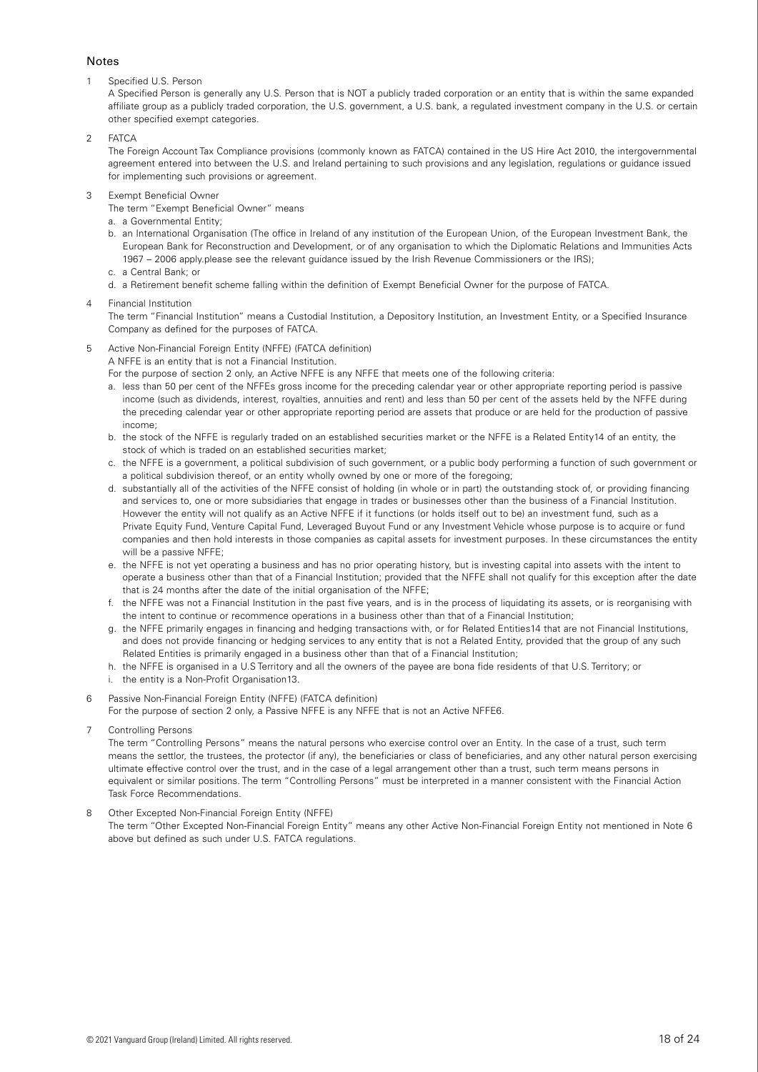#### Notes

1 Specified U.S. Person

A Specified Person is generally any U.S. Person that is NOT a publicly traded corporation or an entity that is within the same expanded affiliate group as a publicly traded corporation, the U.S. government, a U.S. bank, a regulated investment company in the U.S. or certain other specified exempt categories.

 $2 FATCA$ 

The Foreign Account Tax Compliance provisions (commonly known as FATCA) contained in the US Hire Act 2010, the intergovernmental agreement entered into between the U.S. and Ireland pertaining to such provisions and any legislation, regulations or guidance issued for implementing such provisions or agreement.

3 Exempt Beneficial Owner

The term "Exempt Beneficial Owner" means

- a. a Governmental Entity;
- b. an International Organisation (The office in Ireland of any institution of the European Union, of the European Investment Bank, the European Bank for Reconstruction and Development, or of any organisation to which the Diplomatic Relations and Immunities Acts 1967 – 2006 apply.please see the relevant guidance issued by the Irish Revenue Commissioners or the IRS);
- c. a Central Bank; or
- d. a Retirement benefit scheme falling within the definition of Exempt Beneficial Owner for the purpose of FATCA.
- 4 Financial Institution

The term "Financial Institution" means a Custodial Institution, a Depository Institution, an Investment Entity, or a Specified Insurance Company as defined for the purposes of FATCA.

5 Active Non-Financial Foreign Entity (NFFE) (FATCA definition)

A NFFE is an entity that is not a Financial Institution.

- For the purpose of section 2 only, an Active NFFE is any NFFE that meets one of the following criteria:
- a. less than 50 per cent of the NFFEs gross income for the preceding calendar year or other appropriate reporting period is passive income (such as dividends, interest, royalties, annuities and rent) and less than 50 per cent of the assets held by the NFFE during the preceding calendar year or other appropriate reporting period are assets that produce or are held for the production of passive income;
- b. the stock of the NFFE is regularly traded on an established securities market or the NFFE is a Related Entity14 of an entity, the stock of which is traded on an established securities market;
- c. the NFFE is a government, a political subdivision of such government, or a public body performing a function of such government or a political subdivision thereof, or an entity wholly owned by one or more of the foregoing;
- d. substantially all of the activities of the NFFE consist of holding (in whole or in part) the outstanding stock of, or providing financing and services to, one or more subsidiaries that engage in trades or businesses other than the business of a Financial Institution. However the entity will not qualify as an Active NFFE if it functions (or holds itself out to be) an investment fund, such as a Private Equity Fund, Venture Capital Fund, Leveraged Buyout Fund or any Investment Vehicle whose purpose is to acquire or fund companies and then hold interests in those companies as capital assets for investment purposes. In these circumstances the entity will be a passive NFFE;
- e. the NFFE is not yet operating a business and has no prior operating history, but is investing capital into assets with the intent to operate a business other than that of a Financial Institution; provided that the NFFE shall not qualify for this exception after the date that is 24 months after the date of the initial organisation of the NFFE;
- f. the NFFE was not a Financial Institution in the past five years, and is in the process of liquidating its assets, or is reorganising with the intent to continue or recommence operations in a business other than that of a Financial Institution;
- g. the NFFE primarily engages in financing and hedging transactions with, or for Related Entities14 that are not Financial Institutions, and does not provide financing or hedging services to any entity that is not a Related Entity, provided that the group of any such Related Entities is primarily engaged in a business other than that of a Financial Institution;
- h. the NFFE is organised in a U.S Territory and all the owners of the payee are bona fide residents of that U.S. Territory; or
- i. the entity is a Non-Profit Organisation13.
- 6 Passive Non-Financial Foreign Entity (NFFE) (FATCA definition)

For the purpose of section 2 only, a Passive NFFE is any NFFE that is not an Active NFFE6.

7 Controlling Persons

The term "Controlling Persons" means the natural persons who exercise control over an Entity. In the case of a trust, such term means the settlor, the trustees, the protector (if any), the beneficiaries or class of beneficiaries, and any other natural person exercising ultimate effective control over the trust, and in the case of a legal arrangement other than a trust, such term means persons in equivalent or similar positions. The term "Controlling Persons" must be interpreted in a manner consistent with the Financial Action Task Force Recommendations.

8 Other Excepted Non-Financial Foreign Entity (NFFE)

The term "Other Excepted Non-Financial Foreign Entity" means any other Active Non-Financial Foreign Entity not mentioned in Note 6 above but defined as such under U.S. FATCA regulations.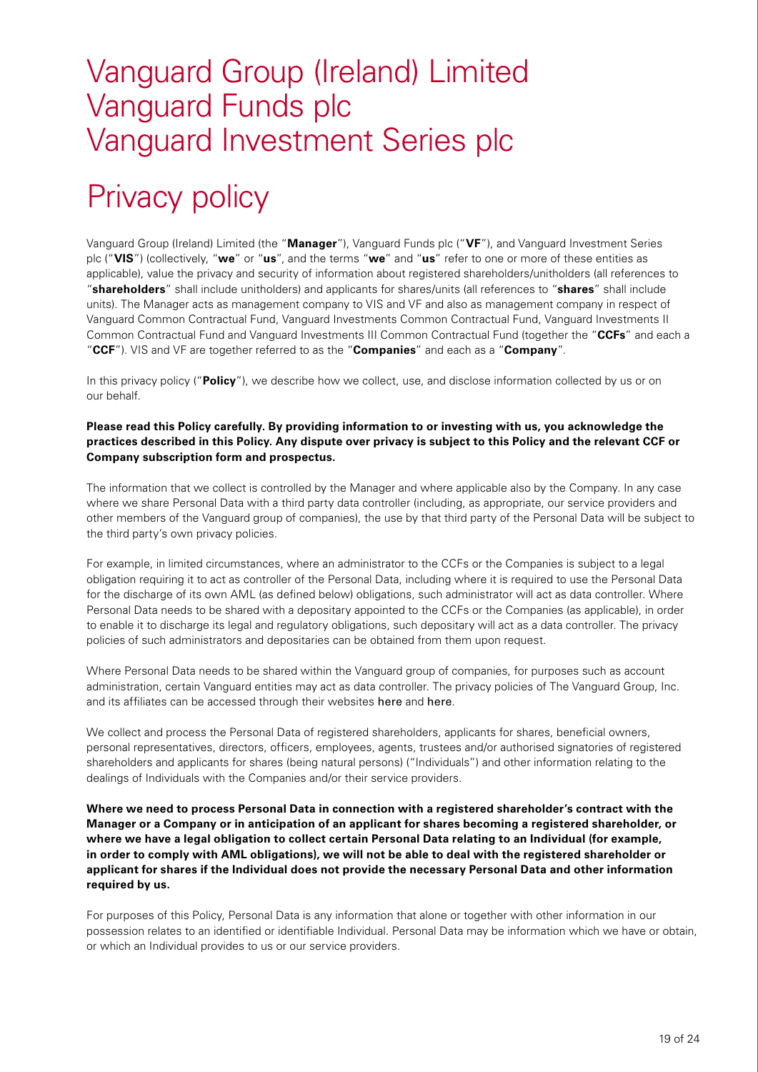# Vanguard Group (Ireland) Limited Vanguard Funds plc Vanguard Investment Series plc

# Privacy policy

Vanguard Group (Ireland) Limited (the "**Manager**"), Vanguard Funds plc ("**VF**"), and Vanguard Investment Series plc ("**VIS**") (collectively, "**we**" or "**us**", and the terms "**we**" and "**us**" refer to one or more of these entities as applicable), value the privacy and security of information about registered shareholders/unitholders (all references to "**shareholders**" shall include unitholders) and applicants for shares/units (all references to "**shares**" shall include units). The Manager acts as management company to VIS and VF and also as management company in respect of Vanguard Common Contractual Fund, Vanguard Investments Common Contractual Fund, Vanguard Investments II Common Contractual Fund and Vanguard Investments III Common Contractual Fund (together the "**CCFs**" and each a "**CCF**"). VIS and VF are together referred to as the "**Companies**" and each as a "**Company**".

In this privacy policy ("**Policy**"), we describe how we collect, use, and disclose information collected by us or on our behalf.

### **Please read this Policy carefully. By providing information to or investing with us, you acknowledge the practices described in this Policy. Any dispute over privacy is subject to this Policy and the relevant CCF or Company subscription form and prospectus.**

The information that we collect is controlled by the Manager and where applicable also by the Company. In any case where we share Personal Data with a third party data controller (including, as appropriate, our service providers and other members of the Vanguard group of companies), the use by that third party of the Personal Data will be subject to the third party's own privacy policies.

For example, in limited circumstances, where an administrator to the CCFs or the Companies is subject to a legal obligation requiring it to act as controller of the Personal Data, including where it is required to use the Personal Data for the discharge of its own AML (as defined below) obligations, such administrator will act as data controller. Where Personal Data needs to be shared with a depositary appointed to the CCFs or the Companies (as applicable), in order to enable it to discharge its legal and regulatory obligations, such depositary will act as a data controller. The privacy policies of such administrators and depositaries can be obtained from them upon request.

Where Personal Data needs to be shared within the Vanguard group of companies, for purposes such as account administration, certain Vanguard entities may act as data controller. The privacy policies of The Vanguard Group, Inc. and its affiliates can be accessed through their websites [here](https://investor.vanguard.com/corporate-portal/) and [here](https://global.vanguard.com/portal/site/home).

We collect and process the Personal Data of registered shareholders, applicants for shares, beneficial owners, personal representatives, directors, officers, employees, agents, trustees and/or authorised signatories of registered shareholders and applicants for shares (being natural persons) ("Individuals") and other information relating to the dealings of Individuals with the Companies and/or their service providers.

**Where we need to process Personal Data in connection with a registered shareholder's contract with the Manager or a Company or in anticipation of an applicant for shares becoming a registered shareholder, or where we have a legal obligation to collect certain Personal Data relating to an Individual (for example, in order to comply with AML obligations), we will not be able to deal with the registered shareholder or applicant for shares if the Individual does not provide the necessary Personal Data and other information required by us.**

For purposes of this Policy, Personal Data is any information that alone or together with other information in our possession relates to an identified or identifiable Individual. Personal Data may be information which we have or obtain, or which an Individual provides to us or our service providers.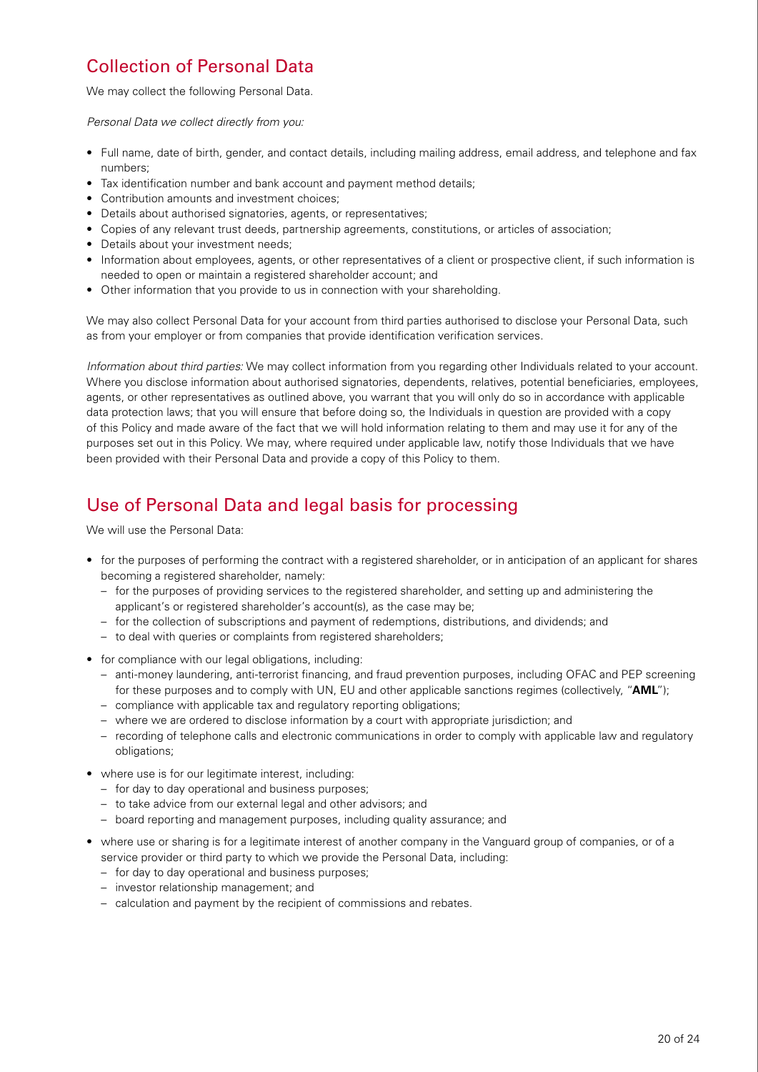## Collection of Personal Data

We may collect the following Personal Data.

*Personal Data we collect directly from you:* 

- Full name, date of birth, gender, and contact details, including mailing address, email address, and telephone and fax numbers;
- Tax identification number and bank account and payment method details;
- Contribution amounts and investment choices;
- Details about authorised signatories, agents, or representatives;
- Copies of any relevant trust deeds, partnership agreements, constitutions, or articles of association;
- Details about your investment needs;
- Information about employees, agents, or other representatives of a client or prospective client, if such information is needed to open or maintain a registered shareholder account; and
- Other information that you provide to us in connection with your shareholding.

We may also collect Personal Data for your account from third parties authorised to disclose your Personal Data, such as from your employer or from companies that provide identification verification services.

*Information about third parties:* We may collect information from you regarding other Individuals related to your account. Where you disclose information about authorised signatories, dependents, relatives, potential beneficiaries, employees, agents, or other representatives as outlined above, you warrant that you will only do so in accordance with applicable data protection laws; that you will ensure that before doing so, the Individuals in question are provided with a copy of this Policy and made aware of the fact that we will hold information relating to them and may use it for any of the purposes set out in this Policy. We may, where required under applicable law, notify those Individuals that we have been provided with their Personal Data and provide a copy of this Policy to them.

### Use of Personal Data and legal basis for processing

We will use the Personal Data:

- for the purposes of performing the contract with a registered shareholder, or in anticipation of an applicant for shares becoming a registered shareholder, namely:
	- for the purposes of providing services to the registered shareholder, and setting up and administering the applicant's or registered shareholder's account(s), as the case may be;
	- for the collection of subscriptions and payment of redemptions, distributions, and dividends; and
	- to deal with queries or complaints from registered shareholders;
- for compliance with our legal obligations, including:
	- anti-money laundering, anti-terrorist financing, and fraud prevention purposes, including OFAC and PEP screening for these purposes and to comply with UN, EU and other applicable sanctions regimes (collectively, "**AML**");
	- compliance with applicable tax and regulatory reporting obligations;
	- where we are ordered to disclose information by a court with appropriate jurisdiction; and
	- recording of telephone calls and electronic communications in order to comply with applicable law and regulatory obligations;
- where use is for our legitimate interest, including:
	- for day to day operational and business purposes;
	- to take advice from our external legal and other advisors; and
	- board reporting and management purposes, including quality assurance; and
- where use or sharing is for a legitimate interest of another company in the Vanguard group of companies, or of a service provider or third party to which we provide the Personal Data, including:
	- for day to day operational and business purposes;
	- investor relationship management; and
	- calculation and payment by the recipient of commissions and rebates.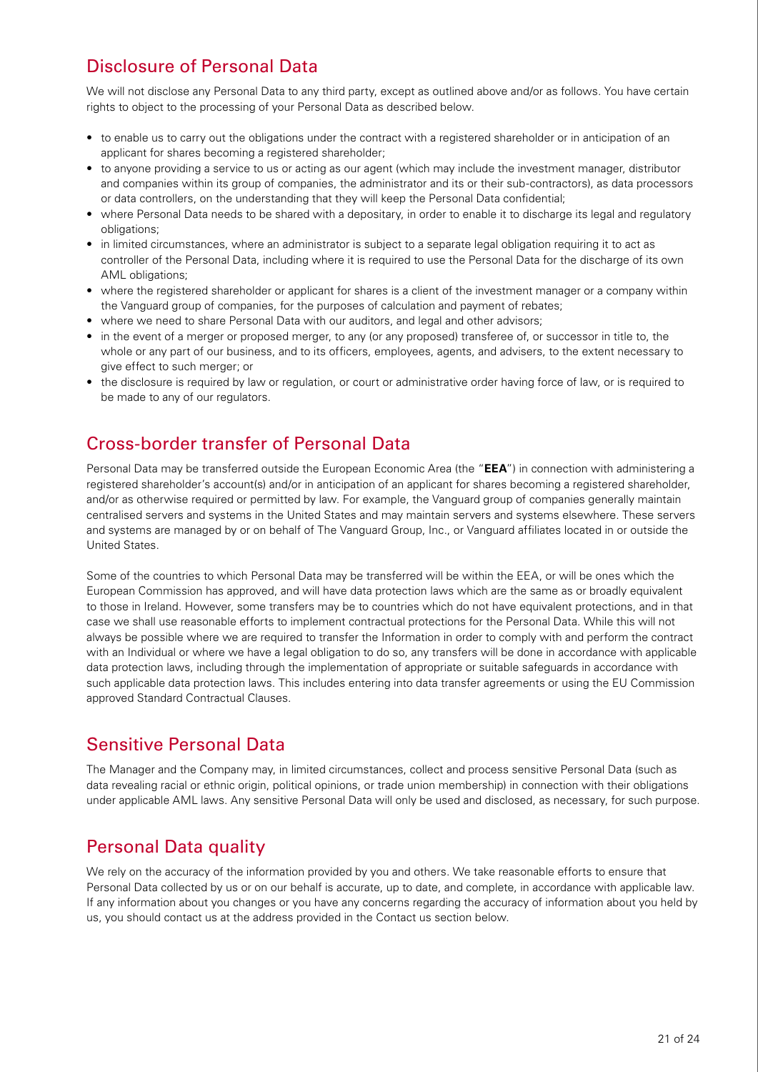# Disclosure of Personal Data

We will not disclose any Personal Data to any third party, except as outlined above and/or as follows. You have certain rights to object to the processing of your Personal Data as described below.

- to enable us to carry out the obligations under the contract with a registered shareholder or in anticipation of an applicant for shares becoming a registered shareholder;
- to anyone providing a service to us or acting as our agent (which may include the investment manager, distributor and companies within its group of companies, the administrator and its or their sub-contractors), as data processors or data controllers, on the understanding that they will keep the Personal Data confidential;
- where Personal Data needs to be shared with a depositary, in order to enable it to discharge its legal and regulatory obligations;
- in limited circumstances, where an administrator is subject to a separate legal obligation requiring it to act as controller of the Personal Data, including where it is required to use the Personal Data for the discharge of its own AML obligations:
- where the registered shareholder or applicant for shares is a client of the investment manager or a company within the Vanguard group of companies, for the purposes of calculation and payment of rebates;
- where we need to share Personal Data with our auditors, and legal and other advisors;
- in the event of a merger or proposed merger, to any (or any proposed) transferee of, or successor in title to, the whole or any part of our business, and to its officers, employees, agents, and advisers, to the extent necessary to give effect to such merger; or
- the disclosure is required by law or regulation, or court or administrative order having force of law, or is required to be made to any of our regulators.

## Cross-border transfer of Personal Data

Personal Data may be transferred outside the European Economic Area (the "**EEA**") in connection with administering a registered shareholder's account(s) and/or in anticipation of an applicant for shares becoming a registered shareholder, and/or as otherwise required or permitted by law. For example, the Vanguard group of companies generally maintain centralised servers and systems in the United States and may maintain servers and systems elsewhere. These servers and systems are managed by or on behalf of The Vanguard Group, Inc., or Vanguard affiliates located in or outside the United States.

Some of the countries to which Personal Data may be transferred will be within the EEA, or will be ones which the European Commission has approved, and will have data protection laws which are the same as or broadly equivalent to those in Ireland. However, some transfers may be to countries which do not have equivalent protections, and in that case we shall use reasonable efforts to implement contractual protections for the Personal Data. While this will not always be possible where we are required to transfer the Information in order to comply with and perform the contract with an Individual or where we have a legal obligation to do so, any transfers will be done in accordance with applicable data protection laws, including through the implementation of appropriate or suitable safeguards in accordance with such applicable data protection laws. This includes entering into data transfer agreements or using the EU Commission approved Standard Contractual Clauses.

### Sensitive Personal Data

The Manager and the Company may, in limited circumstances, collect and process sensitive Personal Data (such as data revealing racial or ethnic origin, political opinions, or trade union membership) in connection with their obligations under applicable AML laws. Any sensitive Personal Data will only be used and disclosed, as necessary, for such purpose.

# Personal Data quality

We rely on the accuracy of the information provided by you and others. We take reasonable efforts to ensure that Personal Data collected by us or on our behalf is accurate, up to date, and complete, in accordance with applicable law. If any information about you changes or you have any concerns regarding the accuracy of information about you held by us, you should contact us at the address provided in the Contact us section below.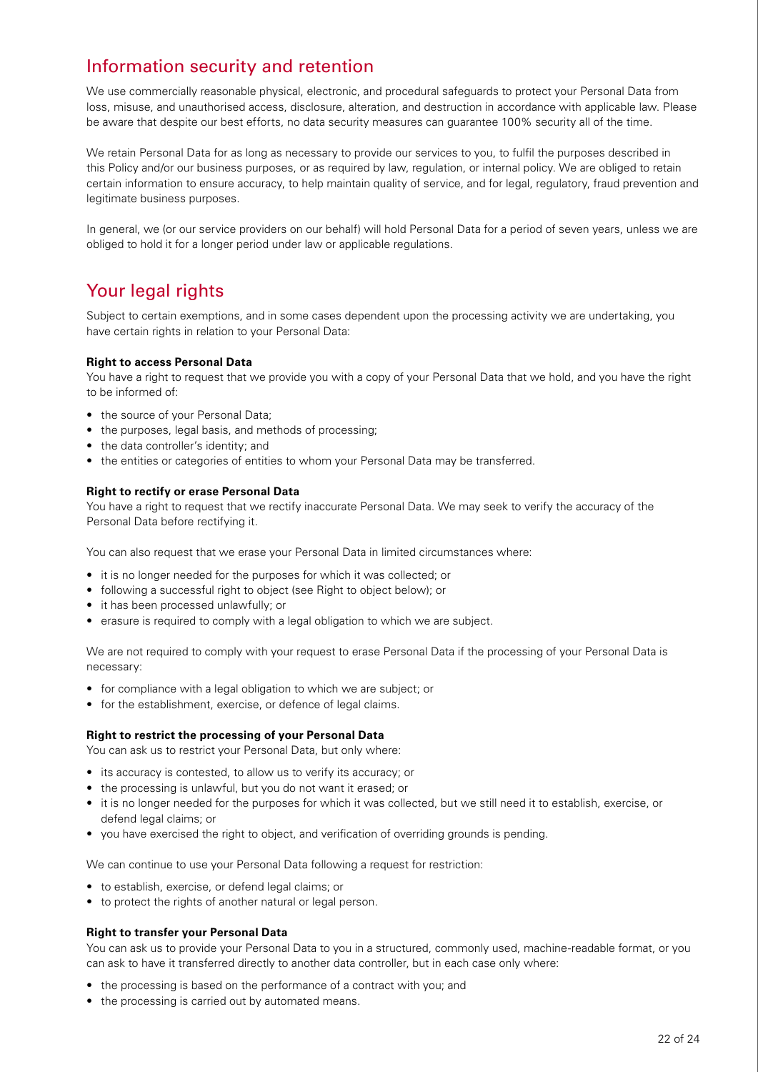### Information security and retention

We use commercially reasonable physical, electronic, and procedural safeguards to protect your Personal Data from loss, misuse, and unauthorised access, disclosure, alteration, and destruction in accordance with applicable law. Please be aware that despite our best efforts, no data security measures can guarantee 100% security all of the time.

We retain Personal Data for as long as necessary to provide our services to you, to fulfil the purposes described in this Policy and/or our business purposes, or as required by law, regulation, or internal policy. We are obliged to retain certain information to ensure accuracy, to help maintain quality of service, and for legal, regulatory, fraud prevention and legitimate business purposes.

In general, we (or our service providers on our behalf) will hold Personal Data for a period of seven years, unless we are obliged to hold it for a longer period under law or applicable regulations.

## Your legal rights

Subject to certain exemptions, and in some cases dependent upon the processing activity we are undertaking, you have certain rights in relation to your Personal Data:

#### **Right to access Personal Data**

You have a right to request that we provide you with a copy of your Personal Data that we hold, and you have the right to be informed of:

- the source of your Personal Data:
- the purposes, legal basis, and methods of processing;
- the data controller's identity; and
- the entities or categories of entities to whom your Personal Data may be transferred.

#### **Right to rectify or erase Personal Data**

You have a right to request that we rectify inaccurate Personal Data. We may seek to verify the accuracy of the Personal Data before rectifying it.

You can also request that we erase your Personal Data in limited circumstances where:

- it is no longer needed for the purposes for which it was collected; or
- following a successful right to object (see Right to object below); or
- it has been processed unlawfully; or
- erasure is required to comply with a legal obligation to which we are subject.

We are not required to comply with your request to erase Personal Data if the processing of your Personal Data is necessary:

- for compliance with a legal obligation to which we are subject; or
- for the establishment, exercise, or defence of legal claims.

#### **Right to restrict the processing of your Personal Data**

You can ask us to restrict your Personal Data, but only where:

- its accuracy is contested, to allow us to verify its accuracy; or
- the processing is unlawful, but you do not want it erased; or
- it is no longer needed for the purposes for which it was collected, but we still need it to establish, exercise, or defend legal claims; or
- you have exercised the right to object, and verification of overriding grounds is pending.

We can continue to use your Personal Data following a request for restriction:

- to establish, exercise, or defend legal claims; or
- to protect the rights of another natural or legal person.

#### **Right to transfer your Personal Data**

You can ask us to provide your Personal Data to you in a structured, commonly used, machine-readable format, or you can ask to have it transferred directly to another data controller, but in each case only where:

- the processing is based on the performance of a contract with you; and
- the processing is carried out by automated means.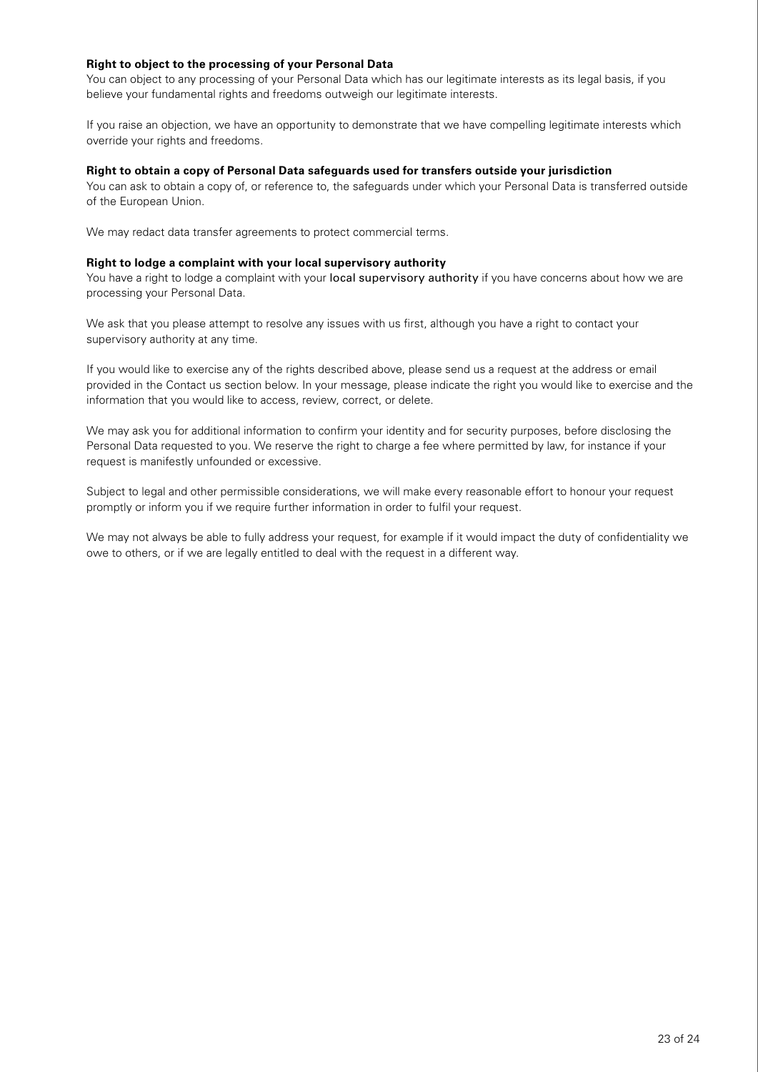### **Right to object to the processing of your Personal Data**

You can object to any processing of your Personal Data which has our legitimate interests as its legal basis, if you believe your fundamental rights and freedoms outweigh our legitimate interests.

If you raise an objection, we have an opportunity to demonstrate that we have compelling legitimate interests which override your rights and freedoms.

#### **Right to obtain a copy of Personal Data safeguards used for transfers outside your jurisdiction**

You can ask to obtain a copy of, or reference to, the safeguards under which your Personal Data is transferred outside of the European Union.

We may redact data transfer agreements to protect commercial terms.

#### **Right to lodge a complaint with your local supervisory authority**

You have a right to lodge a complaint with your [local supervisory authority](https://edpb.europa.eu/about-edpb/board/members_en) if you have concerns about how we are processing your Personal Data.

We ask that you please attempt to resolve any issues with us first, although you have a right to contact your supervisory authority at any time.

If you would like to exercise any of the rights described above, please send us a request at the address or email provided in the Contact us section below. In your message, please indicate the right you would like to exercise and the information that you would like to access, review, correct, or delete.

We may ask you for additional information to confirm your identity and for security purposes, before disclosing the Personal Data requested to you. We reserve the right to charge a fee where permitted by law, for instance if your request is manifestly unfounded or excessive.

Subject to legal and other permissible considerations, we will make every reasonable effort to honour your request promptly or inform you if we require further information in order to fulfil your request.

We may not always be able to fully address your request, for example if it would impact the duty of confidentiality we owe to others, or if we are legally entitled to deal with the request in a different way.